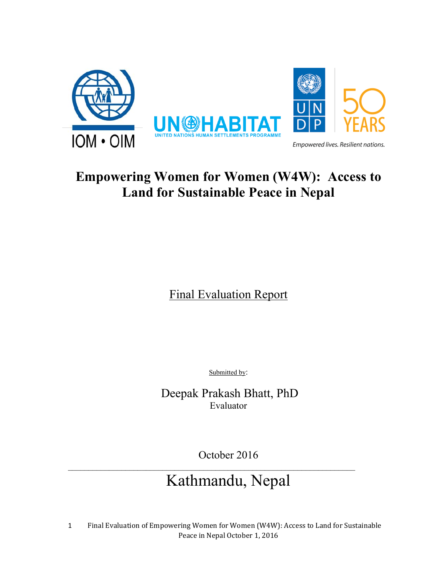

# **Empowering Women for Women (W4W): Access to Land for Sustainable Peace in Nepal**

Final Evaluation Report

Submitted by:

 Deepak Prakash Bhatt, PhD Evaluator

October 2016

# Kathmandu, Nepal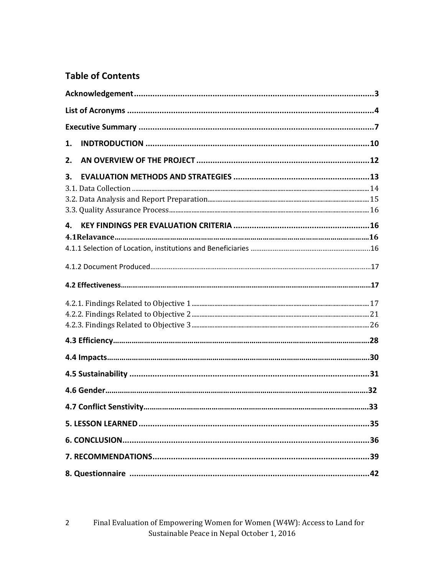## **Table of Contents**

| 1. |  |
|----|--|
| 2. |  |
| 3. |  |
|    |  |
|    |  |
|    |  |
| 4. |  |
|    |  |
|    |  |
|    |  |
|    |  |
|    |  |
|    |  |
|    |  |
|    |  |
|    |  |
|    |  |
|    |  |
|    |  |
|    |  |
|    |  |
|    |  |
|    |  |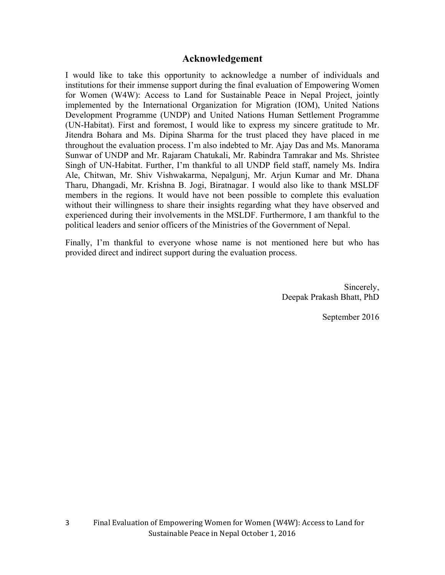## **Acknowledgement**

I would like to take this opportunity to acknowledge a number of individuals and institutions for their immense support during the final evaluation of Empowering Women for Women (W4W): Access to Land for Sustainable Peace in Nepal Project, jointly implemented by the International Organization for Migration (IOM), United Nations Development Programme (UNDP) and United Nations Human Settlement Programme (UN-Habitat). First and foremost, I would like to express my sincere gratitude to Mr. Jitendra Bohara and Ms. Dipina Sharma for the trust placed they have placed in me throughout the evaluation process. I'm also indebted to Mr. Ajay Das and Ms. Manorama Sunwar of UNDP and Mr. Rajaram Chatukali, Mr. Rabindra Tamrakar and Ms. Shristee Singh of UN-Habitat. Further, I'm thankful to all UNDP field staff, namely Ms. Indira Ale, Chitwan, Mr. Shiv Vishwakarma, Nepalgunj, Mr. Arjun Kumar and Mr. Dhana Tharu, Dhangadi, Mr. Krishna B. Jogi, Biratnagar. I would also like to thank MSLDF members in the regions. It would have not been possible to complete this evaluation without their willingness to share their insights regarding what they have observed and experienced during their involvements in the MSLDF. Furthermore, I am thankful to the political leaders and senior officers of the Ministries of the Government of Nepal.

Finally, I'm thankful to everyone whose name is not mentioned here but who has provided direct and indirect support during the evaluation process.

> Sincerely, Deepak Prakash Bhatt, PhD

> > September 2016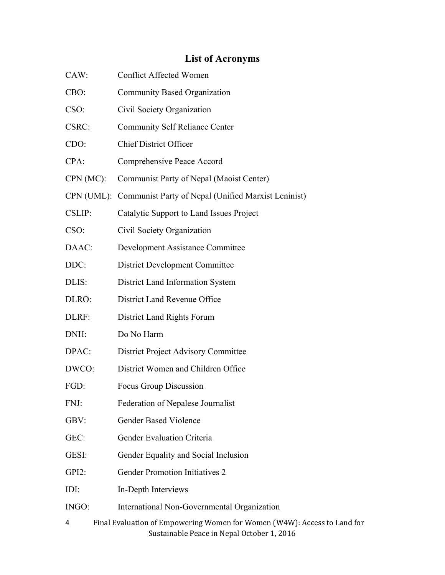# **List of Acronyms**

| CAW:      | <b>Conflict Affected Women</b>                                                                                         |
|-----------|------------------------------------------------------------------------------------------------------------------------|
| CBO:      | Community Based Organization                                                                                           |
| CSO:      | Civil Society Organization                                                                                             |
| CSRC:     | <b>Community Self Reliance Center</b>                                                                                  |
| CDO:      | <b>Chief District Officer</b>                                                                                          |
| $CPA$ :   | Comprehensive Peace Accord                                                                                             |
| CPN (MC): | Communist Party of Nepal (Maoist Center)                                                                               |
|           | CPN (UML): Communist Party of Nepal (Unified Marxist Leninist)                                                         |
| CSLIP:    | Catalytic Support to Land Issues Project                                                                               |
| CSO:      | Civil Society Organization                                                                                             |
| DAAC:     | <b>Development Assistance Committee</b>                                                                                |
| DDC:      | <b>District Development Committee</b>                                                                                  |
| DLIS:     | District Land Information System                                                                                       |
| DLRO:     | District Land Revenue Office                                                                                           |
| DLRF:     | District Land Rights Forum                                                                                             |
| DNH:      | Do No Harm                                                                                                             |
| DPAC:     | <b>District Project Advisory Committee</b>                                                                             |
| DWCO:     | District Women and Children Office                                                                                     |
| FGD:      | Focus Group Discussion                                                                                                 |
| FNJ:      | Federation of Nepalese Journalist                                                                                      |
| GBV:      | <b>Gender Based Violence</b>                                                                                           |
| GEC:      | Gender Evaluation Criteria                                                                                             |
| GESI:     | Gender Equality and Social Inclusion                                                                                   |
| $GPI2$ :  | <b>Gender Promotion Initiatives 2</b>                                                                                  |
| IDI:      | In-Depth Interviews                                                                                                    |
| INGO:     | International Non-Governmental Organization                                                                            |
| 4         | Final Evaluation of Empowering Women for Women (W4W): Access to Land for<br>Sustainable Peace in Nepal October 1, 2016 |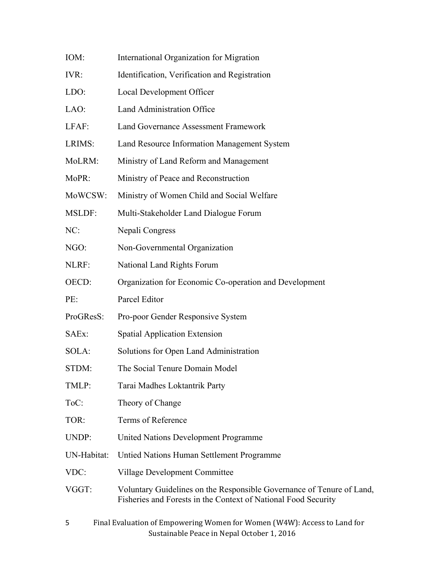| IOM:          | International Organization for Migration                                                                                                |
|---------------|-----------------------------------------------------------------------------------------------------------------------------------------|
| IVR:          | Identification, Verification and Registration                                                                                           |
| LDO:          | Local Development Officer                                                                                                               |
| LAO:          | <b>Land Administration Office</b>                                                                                                       |
| LFAF:         | <b>Land Governance Assessment Framework</b>                                                                                             |
| LRIMS:        | Land Resource Information Management System                                                                                             |
| MoLRM:        | Ministry of Land Reform and Management                                                                                                  |
| MoPR:         | Ministry of Peace and Reconstruction                                                                                                    |
| MoWCSW:       | Ministry of Women Child and Social Welfare                                                                                              |
| <b>MSLDF:</b> | Multi-Stakeholder Land Dialogue Forum                                                                                                   |
| NC:           | Nepali Congress                                                                                                                         |
| NGO:          | Non-Governmental Organization                                                                                                           |
| NLRF:         | National Land Rights Forum                                                                                                              |
| OECD:         | Organization for Economic Co-operation and Development                                                                                  |
| PE:           | Parcel Editor                                                                                                                           |
| ProGResS:     | Pro-poor Gender Responsive System                                                                                                       |
| SAEx:         | Spatial Application Extension                                                                                                           |
| SOLA:         | Solutions for Open Land Administration                                                                                                  |
| STDM:         | The Social Tenure Domain Model                                                                                                          |
| TMLP:         | Tarai Madhes Loktantrik Party                                                                                                           |
| ToC:          | Theory of Change                                                                                                                        |
| TOR:          | Terms of Reference                                                                                                                      |
| UNDP:         | United Nations Development Programme                                                                                                    |
| UN-Habitat:   | Untied Nations Human Settlement Programme                                                                                               |
| VDC:          | Village Development Committee                                                                                                           |
| VGGT:         | Voluntary Guidelines on the Responsible Governance of Tenure of Land,<br>Fisheries and Forests in the Context of National Food Security |
| 5             | Final Evaluation of Empowering Women for Women (W4W): Access to Land for<br>Sustainable Peace in Nepal October 1, 2016                  |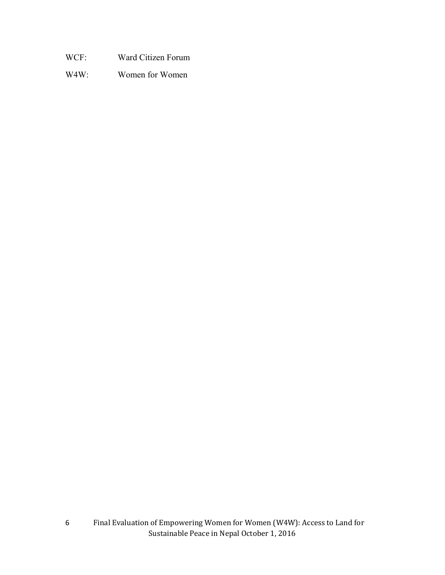- WCF: Ward Citizen Forum
- W4W: Women for Women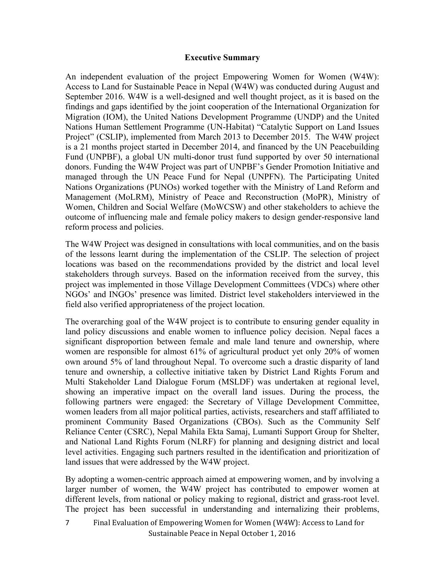#### **Executive Summary**

An independent evaluation of the project Empowering Women for Women (W4W): Access to Land for Sustainable Peace in Nepal (W4W) was conducted during August and September 2016. W4W is a well-designed and well thought project, as it is based on the findings and gaps identified by the joint cooperation of the International Organization for Migration (IOM), the United Nations Development Programme (UNDP) and the United Nations Human Settlement Programme (UN-Habitat) "Catalytic Support on Land Issues Project" (CSLIP), implemented from March 2013 to December 2015. The W4W project is a 21 months project started in December 2014, and financed by the UN Peacebuilding Fund (UNPBF), a global UN multi-donor trust fund supported by over 50 international donors. Funding the W4W Project was part of UNPBF's Gender Promotion Initiative and managed through the UN Peace Fund for Nepal (UNPFN). The Participating United Nations Organizations (PUNOs) worked together with the Ministry of Land Reform and Management (MoLRM), Ministry of Peace and Reconstruction (MoPR), Ministry of Women, Children and Social Welfare (MoWCSW) and other stakeholders to achieve the outcome of influencing male and female policy makers to design gender-responsive land reform process and policies.

The W4W Project was designed in consultations with local communities, and on the basis of the lessons learnt during the implementation of the CSLIP. The selection of project locations was based on the recommendations provided by the district and local level stakeholders through surveys. Based on the information received from the survey, this project was implemented in those Village Development Committees (VDCs) where other NGOs' and INGOs' presence was limited. District level stakeholders interviewed in the field also verified appropriateness of the project location.

The overarching goal of the W4W project is to contribute to ensuring gender equality in land policy discussions and enable women to influence policy decision. Nepal faces a significant disproportion between female and male land tenure and ownership, where women are responsible for almost 61% of agricultural product yet only 20% of women own around 5% of land throughout Nepal. To overcome such a drastic disparity of land tenure and ownership, a collective initiative taken by District Land Rights Forum and Multi Stakeholder Land Dialogue Forum (MSLDF) was undertaken at regional level, showing an imperative impact on the overall land issues. During the process, the following partners were engaged: the Secretary of Village Development Committee, women leaders from all major political parties, activists, researchers and staff affiliated to prominent Community Based Organizations (CBOs). Such as the Community Self Reliance Center (CSRC), Nepal Mahila Ekta Samaj, Lumanti Support Group for Shelter, and National Land Rights Forum (NLRF) for planning and designing district and local level activities. Engaging such partners resulted in the identification and prioritization of land issues that were addressed by the W4W project.

By adopting a women-centric approach aimed at empowering women, and by involving a larger number of women, the W4W project has contributed to empower women at different levels, from national or policy making to regional, district and grass-root level. The project has been successful in understanding and internalizing their problems,

Final Evaluation of Empowering Women for Women (W4W): Access to Land for Sustainable Peace in Nepal October 1, 2016 7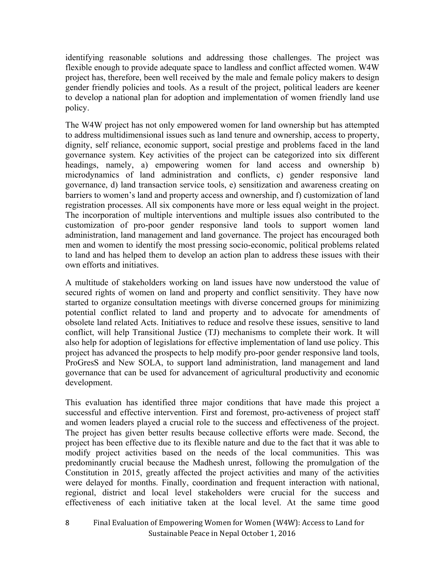identifying reasonable solutions and addressing those challenges. The project was flexible enough to provide adequate space to landless and conflict affected women. W4W project has, therefore, been well received by the male and female policy makers to design gender friendly policies and tools. As a result of the project, political leaders are keener to develop a national plan for adoption and implementation of women friendly land use policy.

The W4W project has not only empowered women for land ownership but has attempted to address multidimensional issues such as land tenure and ownership, access to property, dignity, self reliance, economic support, social prestige and problems faced in the land governance system. Key activities of the project can be categorized into six different headings, namely, a) empowering women for land access and ownership b) microdynamics of land administration and conflicts, c) gender responsive land governance, d) land transaction service tools, e) sensitization and awareness creating on barriers to women's land and property access and ownership, and f) customization of land registration processes. All six components have more or less equal weight in the project. The incorporation of multiple interventions and multiple issues also contributed to the customization of pro-poor gender responsive land tools to support women land administration, land management and land governance. The project has encouraged both men and women to identify the most pressing socio-economic, political problems related to land and has helped them to develop an action plan to address these issues with their own efforts and initiatives.

A multitude of stakeholders working on land issues have now understood the value of secured rights of women on land and property and conflict sensitivity. They have now started to organize consultation meetings with diverse concerned groups for minimizing potential conflict related to land and property and to advocate for amendments of obsolete land related Acts. Initiatives to reduce and resolve these issues, sensitive to land conflict, will help Transitional Justice (TJ) mechanisms to complete their work. It will also help for adoption of legislations for effective implementation of land use policy. This project has advanced the prospects to help modify pro-poor gender responsive land tools, ProGresS and New SOLA, to support land administration, land management and land governance that can be used for advancement of agricultural productivity and economic development.

This evaluation has identified three major conditions that have made this project a successful and effective intervention. First and foremost, pro-activeness of project staff and women leaders played a crucial role to the success and effectiveness of the project. The project has given better results because collective efforts were made. Second, the project has been effective due to its flexible nature and due to the fact that it was able to modify project activities based on the needs of the local communities. This was predominantly crucial because the Madhesh unrest, following the promulgation of the Constitution in 2015, greatly affected the project activities and many of the activities were delayed for months. Finally, coordination and frequent interaction with national, regional, district and local level stakeholders were crucial for the success and effectiveness of each initiative taken at the local level. At the same time good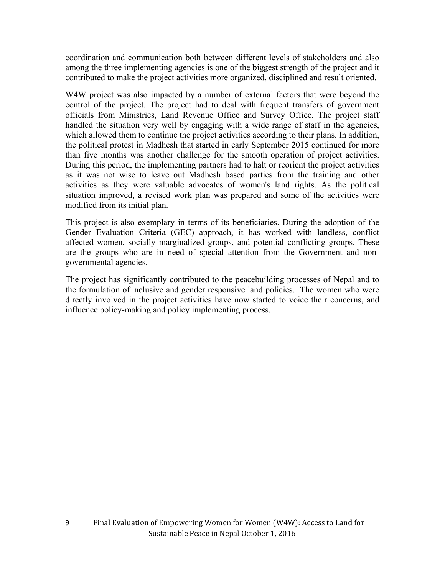coordination and communication both between different levels of stakeholders and also among the three implementing agencies is one of the biggest strength of the project and it contributed to make the project activities more organized, disciplined and result oriented.

W4W project was also impacted by a number of external factors that were beyond the control of the project. The project had to deal with frequent transfers of government officials from Ministries, Land Revenue Office and Survey Office. The project staff handled the situation very well by engaging with a wide range of staff in the agencies, which allowed them to continue the project activities according to their plans. In addition, the political protest in Madhesh that started in early September 2015 continued for more than five months was another challenge for the smooth operation of project activities. During this period, the implementing partners had to halt or reorient the project activities as it was not wise to leave out Madhesh based parties from the training and other activities as they were valuable advocates of women's land rights. As the political situation improved, a revised work plan was prepared and some of the activities were modified from its initial plan.

This project is also exemplary in terms of its beneficiaries. During the adoption of the Gender Evaluation Criteria (GEC) approach, it has worked with landless, conflict affected women, socially marginalized groups, and potential conflicting groups. These are the groups who are in need of special attention from the Government and nongovernmental agencies.

The project has significantly contributed to the peacebuilding processes of Nepal and to the formulation of inclusive and gender responsive land policies. The women who were directly involved in the project activities have now started to voice their concerns, and influence policy-making and policy implementing process.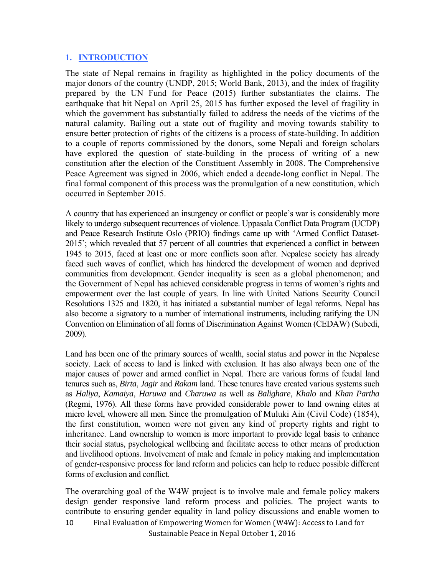### **1. INTRODUCTION**

The state of Nepal remains in fragility as highlighted in the policy documents of the major donors of the country (UNDP, 2015; World Bank, 2013), and the index of fragility prepared by the UN Fund for Peace (2015) further substantiates the claims. The earthquake that hit Nepal on April 25, 2015 has further exposed the level of fragility in which the government has substantially failed to address the needs of the victims of the natural calamity. Bailing out a state out of fragility and moving towards stability to ensure better protection of rights of the citizens is a process of state-building. In addition to a couple of reports commissioned by the donors, some Nepali and foreign scholars have explored the question of state-building in the process of writing of a new constitution after the election of the Constituent Assembly in 2008. The Comprehensive Peace Agreement was signed in 2006, which ended a decade-long conflict in Nepal. The final formal component of this process was the promulgation of a new constitution, which occurred in September 2015.

A country that has experienced an insurgency or conflict or people's war is considerably more likely to undergo subsequent recurrences of violence. Uppasala Conflict Data Program (UCDP) and Peace Research Institute Oslo (PRIO) findings came up with 'Armed Conflict Dataset-2015'; which revealed that 57 percent of all countries that experienced a conflict in between 1945 to 2015, faced at least one or more conflicts soon after. Nepalese society has already faced such waves of conflict, which has hindered the development of women and deprived communities from development. Gender inequality is seen as a global phenomenon; and the Government of Nepal has achieved considerable progress in terms of women's rights and empowerment over the last couple of years. In line with United Nations Security Council Resolutions 1325 and 1820, it has initiated a substantial number of legal reforms. Nepal has also become a signatory to a number of international instruments, including ratifying the UN Convention on Elimination of all forms of Discrimination Against Women (CEDAW) (Subedi, 2009).

Land has been one of the primary sources of wealth, social status and power in the Nepalese society. Lack of access to land is linked with exclusion. It has also always been one of the major causes of power and armed conflict in Nepal. There are various forms of feudal land tenures such as, *Birta*, *Jagir* and *Rakam* land. These tenures have created various systems such as *Haliya*, *Kamaiya*, *Haruwa* and *Charuwa* as well as *Balighare*, *Khalo* and *Khan Partha* (Regmi, 1976). All these forms have provided considerable power to land owning elites at micro level, whowere all men. Since the promulgation of Muluki Ain (Civil Code) (1854), the first constitution, women were not given any kind of property rights and right to inheritance. Land ownership to women is more important to provide legal basis to enhance their social status, psychological wellbeing and facilitate access to other means of production and livelihood options. Involvement of male and female in policy making and implementation of gender-responsive process for land reform and policies can help to reduce possible different forms of exclusion and conflict.

Final Evaluation of Empowering Women for Women (W4W): Access to Land for 10 The overarching goal of the W4W project is to involve male and female policy makers design gender responsive land reform process and policies. The project wants to contribute to ensuring gender equality in land policy discussions and enable women to

Sustainable Peace in Nepal October 1, 2016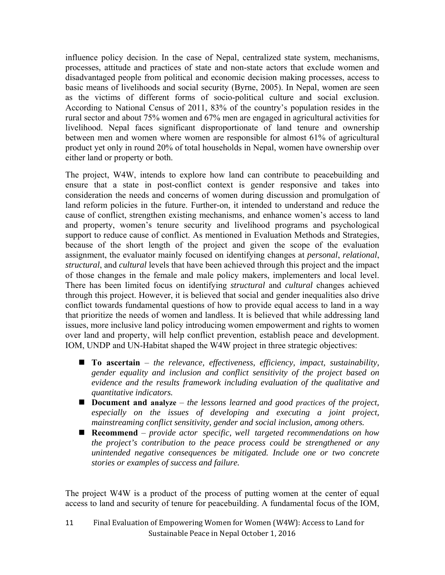influence policy decision. In the case of Nepal, centralized state system, mechanisms, processes, attitude and practices of state and non-state actors that exclude women and disadvantaged people from political and economic decision making processes, access to basic means of livelihoods and social security (Byrne, 2005). In Nepal, women are seen as the victims of different forms of socio-political culture and social exclusion. According to National Census of 2011, 83% of the country's population resides in the rural sector and about 75% women and 67% men are engaged in agricultural activities for livelihood. Nepal faces significant disproportionate of land tenure and ownership between men and women where women are responsible for almost 61% of agricultural product yet only in round 20% of total households in Nepal, women have ownership over either land or property or both.

The project, W4W, intends to explore how land can contribute to peacebuilding and ensure that a state in post-conflict context is gender responsive and takes into consideration the needs and concerns of women during discussion and promulgation of land reform policies in the future. Further-on, it intended to understand and reduce the cause of conflict, strengthen existing mechanisms, and enhance women's access to land and property, women's tenure security and livelihood programs and psychological support to reduce cause of conflict. As mentioned in Evaluation Methods and Strategies, because of the short length of the project and given the scope of the evaluation assignment, the evaluator mainly focused on identifying changes at *personal*, *relational*, *structural*, and *cultural* levels that have been achieved through this project and the impact of those changes in the female and male policy makers, implementers and local level. There has been limited focus on identifying *structural* and *cultural* changes achieved through this project. However, it is believed that social and gender inequalities also drive conflict towards fundamental questions of how to provide equal access to land in a way that prioritize the needs of women and landless. It is believed that while addressing land issues, more inclusive land policy introducing women empowerment and rights to women over land and property, will help conflict prevention, establish peace and development. IOM, UNDP and UN-Habitat shaped the W4W project in three strategic objectives:

- **To ascertain** *the relevance, effectiveness, efficiency, impact, sustainability, gender equality and inclusion and conflict sensitivity of the project based on evidence and the results framework including evaluation of the qualitative and quantitative indicators.*
- **Document and analyze** *the lessons learned and good practices of the project, especially on the issues of developing and executing a joint project, mainstreaming conflict sensitivity, gender and social inclusion, among others.*
- **Recommend** *provide actor specific, well targeted recommendations on how the project's contribution to the peace process could be strengthened or any unintended negative consequences be mitigated. Include one or two concrete stories or examples of success and failure.*

The project W4W is a product of the process of putting women at the center of equal access to land and security of tenure for peacebuilding. A fundamental focus of the IOM,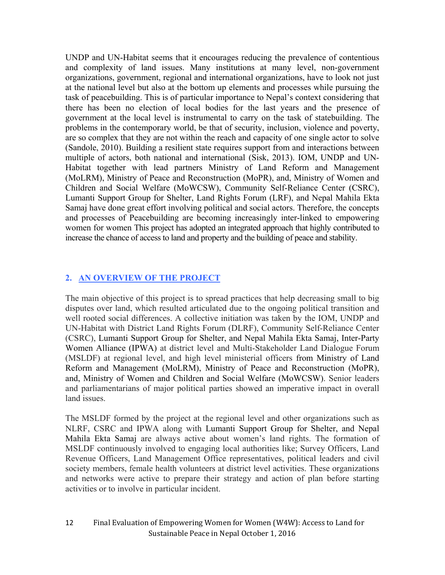UNDP and UN-Habitat seems that it encourages reducing the prevalence of contentious and complexity of land issues. Many institutions at many level, non-government organizations, government, regional and international organizations, have to look not just at the national level but also at the bottom up elements and processes while pursuing the task of peacebuilding. This is of particular importance to Nepal's context considering that there has been no election of local bodies for the last years and the presence of government at the local level is instrumental to carry on the task of statebuilding. The problems in the contemporary world, be that of security, inclusion, violence and poverty, are so complex that they are not within the reach and capacity of one single actor to solve (Sandole, 2010). Building a resilient state requires support from and interactions between multiple of actors, both national and international (Sisk, 2013). IOM, UNDP and UN-Habitat together with lead partners Ministry of Land Reform and Management (MoLRM), Ministry of Peace and Reconstruction (MoPR), and, Ministry of Women and Children and Social Welfare (MoWCSW), Community Self-Reliance Center (CSRC), Lumanti Support Group for Shelter, Land Rights Forum (LRF), and Nepal Mahila Ekta Samaj have done great effort involving political and social actors. Therefore, the concepts and processes of Peacebuilding are becoming increasingly inter-linked to empowering women for women This project has adopted an integrated approach that highly contributed to increase the chance of access to land and property and the building of peace and stability.

## **2. AN OVERVIEW OF THE PROJECT**

The main objective of this project is to spread practices that help decreasing small to big disputes over land, which resulted articulated due to the ongoing political transition and well rooted social differences. A collective initiation was taken by the IOM, UNDP and UN-Habitat with District Land Rights Forum (DLRF), Community Self-Reliance Center (CSRC), Lumanti Support Group for Shelter, and Nepal Mahila Ekta Samaj, Inter-Party Women Alliance (IPWA) at district level and Multi-Stakeholder Land Dialogue Forum (MSLDF) at regional level, and high level ministerial officers from Ministry of Land Reform and Management (MoLRM), Ministry of Peace and Reconstruction (MoPR), and, Ministry of Women and Children and Social Welfare (MoWCSW). Senior leaders and parliamentarians of major political parties showed an imperative impact in overall land issues.

The MSLDF formed by the project at the regional level and other organizations such as NLRF, CSRC and IPWA along with Lumanti Support Group for Shelter, and Nepal Mahila Ekta Samaj are always active about women's land rights. The formation of MSLDF continuously involved to engaging local authorities like; Survey Officers, Land Revenue Officers, Land Management Office representatives, political leaders and civil society members, female health volunteers at district level activities. These organizations and networks were active to prepare their strategy and action of plan before starting activities or to involve in particular incident.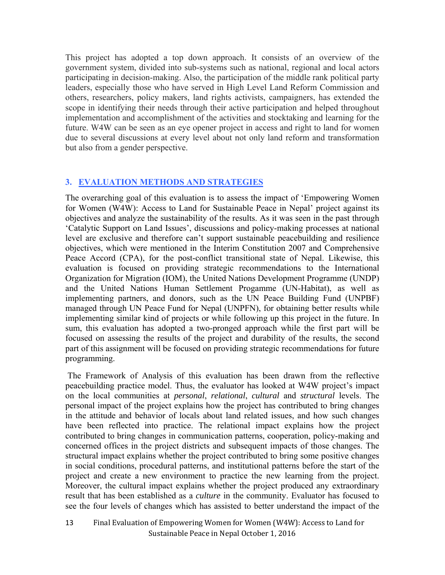This project has adopted a top down approach. It consists of an overview of the government system, divided into sub-systems such as national, regional and local actors participating in decision-making. Also, the participation of the middle rank political party leaders, especially those who have served in High Level Land Reform Commission and others, researchers, policy makers, land rights activists, campaigners, has extended the scope in identifying their needs through their active participation and helped throughout implementation and accomplishment of the activities and stocktaking and learning for the future. W4W can be seen as an eye opener project in access and right to land for women due to several discussions at every level about not only land reform and transformation but also from a gender perspective.

## **3. EVALUATION METHODS AND STRATEGIES**

The overarching goal of this evaluation is to assess the impact of 'Empowering Women for Women (W4W): Access to Land for Sustainable Peace in Nepal' project against its objectives and analyze the sustainability of the results. As it was seen in the past through 'Catalytic Support on Land Issues', discussions and policy-making processes at national level are exclusive and therefore can't support sustainable peacebuilding and resilience objectives, which were mentioned in the Interim Constitution 2007 and Comprehensive Peace Accord (CPA), for the post-conflict transitional state of Nepal. Likewise, this evaluation is focused on providing strategic recommendations to the International Organization for Migration (IOM), the United Nations Development Programme (UNDP) and the United Nations Human Settlement Progamme (UN-Habitat), as well as implementing partners, and donors, such as the UN Peace Building Fund (UNPBF) managed through UN Peace Fund for Nepal (UNPFN), for obtaining better results while implementing similar kind of projects or while following up this project in the future. In sum, this evaluation has adopted a two-pronged approach while the first part will be focused on assessing the results of the project and durability of the results, the second part of this assignment will be focused on providing strategic recommendations for future programming.

 The Framework of Analysis of this evaluation has been drawn from the reflective peacebuilding practice model. Thus, the evaluator has looked at W4W project's impact on the local communities at *personal*, *relational*, *cultural* and *structural* levels. The personal impact of the project explains how the project has contributed to bring changes in the attitude and behavior of locals about land related issues, and how such changes have been reflected into practice. The relational impact explains how the project contributed to bring changes in communication patterns, cooperation, policy-making and concerned offices in the project districts and subsequent impacts of those changes. The structural impact explains whether the project contributed to bring some positive changes in social conditions, procedural patterns, and institutional patterns before the start of the project and create a new environment to practice the new learning from the project. Moreover, the cultural impact explains whether the project produced any extraordinary result that has been established as a *culture* in the community. Evaluator has focused to see the four levels of changes which has assisted to better understand the impact of the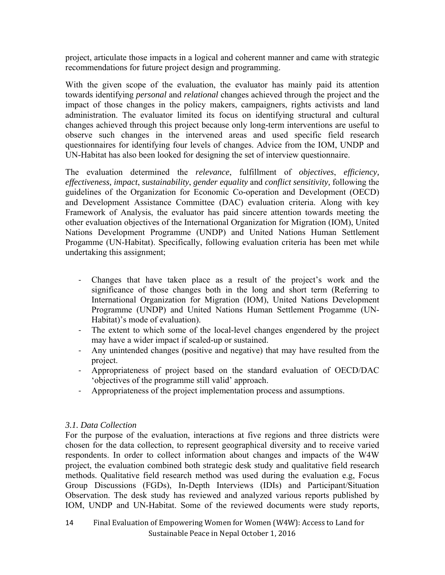project, articulate those impacts in a logical and coherent manner and came with strategic recommendations for future project design and programming.

With the given scope of the evaluation, the evaluator has mainly paid its attention towards identifying *personal* and *relational* changes achieved through the project and the impact of those changes in the policy makers, campaigners, rights activists and land administration. The evaluator limited its focus on identifying structural and cultural changes achieved through this project because only long-term interventions are useful to observe such changes in the intervened areas and used specific field research questionnaires for identifying four levels of changes. Advice from the IOM, UNDP and UN-Habitat has also been looked for designing the set of interview questionnaire.

The evaluation determined the *relevance*, fulfillment of *objectives*, *efficiency, effectiveness, impact*, *sustainability*, *gender equality* and *conflict sensitivity,* following the guidelines of the Organization for Economic Co-operation and Development (OECD) and Development Assistance Committee (DAC) evaluation criteria. Along with key Framework of Analysis, the evaluator has paid sincere attention towards meeting the other evaluation objectives of the International Organization for Migration (IOM), United Nations Development Programme (UNDP) and United Nations Human Settlement Progamme (UN-Habitat). Specifically, following evaluation criteria has been met while undertaking this assignment;

- ‐ Changes that have taken place as a result of the project's work and the significance of those changes both in the long and short term (Referring to International Organization for Migration (IOM), United Nations Development Programme (UNDP) and United Nations Human Settlement Progamme (UN-Habitat)'s mode of evaluation).
- ‐ The extent to which some of the local-level changes engendered by the project may have a wider impact if scaled-up or sustained.
- ‐ Any unintended changes (positive and negative) that may have resulted from the project.
- ‐ Appropriateness of project based on the standard evaluation of OECD/DAC 'objectives of the programme still valid' approach.
- ‐ Appropriateness of the project implementation process and assumptions.

## *3.1. Data Collection*

For the purpose of the evaluation, interactions at five regions and three districts were chosen for the data collection, to represent geographical diversity and to receive varied respondents. In order to collect information about changes and impacts of the W4W project, the evaluation combined both strategic desk study and qualitative field research methods. Qualitative field research method was used during the evaluation e.g, Focus Group Discussions (FGDs), In-Depth Interviews (IDIs) and Participant/Situation Observation. The desk study has reviewed and analyzed various reports published by IOM, UNDP and UN-Habitat. Some of the reviewed documents were study reports,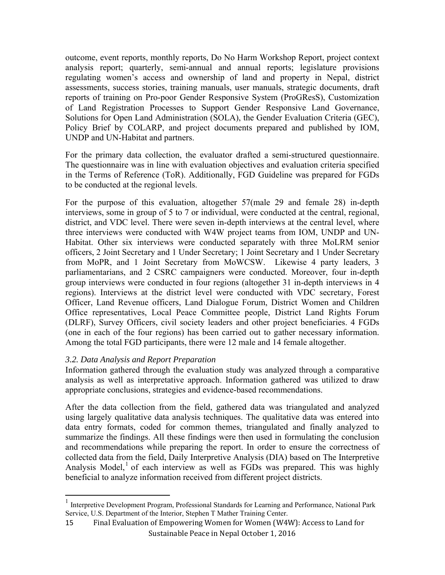outcome, event reports, monthly reports, Do No Harm Workshop Report, project context analysis report; quarterly, semi-annual and annual reports; legislature provisions regulating women's access and ownership of land and property in Nepal, district assessments, success stories, training manuals, user manuals, strategic documents, draft reports of training on Pro-poor Gender Responsive System (ProGResS), Customization of Land Registration Processes to Support Gender Responsive Land Governance, Solutions for Open Land Administration (SOLA), the Gender Evaluation Criteria (GEC), Policy Brief by COLARP, and project documents prepared and published by IOM, UNDP and UN-Habitat and partners.

For the primary data collection, the evaluator drafted a semi-structured questionnaire. The questionnaire was in line with evaluation objectives and evaluation criteria specified in the Terms of Reference (ToR). Additionally, FGD Guideline was prepared for FGDs to be conducted at the regional levels.

For the purpose of this evaluation, altogether 57(male 29 and female 28) in-depth interviews, some in group of 5 to 7 or individual, were conducted at the central, regional, district, and VDC level. There were seven in-depth interviews at the central level, where three interviews were conducted with W4W project teams from IOM, UNDP and UN-Habitat. Other six interviews were conducted separately with three MoLRM senior officers, 2 Joint Secretary and 1 Under Secretary; 1 Joint Secretary and 1 Under Secretary from MoPR, and 1 Joint Secretary from MoWCSW. Likewise 4 party leaders, 3 parliamentarians, and 2 CSRC campaigners were conducted. Moreover, four in-depth group interviews were conducted in four regions (altogether 31 in-depth interviews in 4 regions). Interviews at the district level were conducted with VDC secretary, Forest Officer, Land Revenue officers, Land Dialogue Forum, District Women and Children Office representatives, Local Peace Committee people, District Land Rights Forum (DLRF), Survey Officers, civil society leaders and other project beneficiaries. 4 FGDs (one in each of the four regions) has been carried out to gather necessary information. Among the total FGD participants, there were 12 male and 14 female altogether.

## *3.2. Data Analysis and Report Preparation*

Information gathered through the evaluation study was analyzed through a comparative analysis as well as interpretative approach. Information gathered was utilized to draw appropriate conclusions, strategies and evidence-based recommendations.

After the data collection from the field, gathered data was triangulated and analyzed using largely qualitative data analysis techniques. The qualitative data was entered into data entry formats, coded for common themes, triangulated and finally analyzed to summarize the findings. All these findings were then used in formulating the conclusion and recommendations while preparing the report. In order to ensure the correctness of collected data from the field, Daily Interpretive Analysis (DIA) based on The Interpretive Analysis Model,<sup>1</sup> of each interview as well as FGDs was prepared. This was highly beneficial to analyze information received from different project districts.

<sup>&</sup>lt;sup>1</sup> Interpretive Development Program, Professional Standards for Learning and Performance, National Park Service, U.S. Department of the Interior, Stephen T Mather Training Center.

Final Evaluation of Empowering Women for Women (W4W): Access to Land for Sustainable Peace in Nepal October 1, 2016 15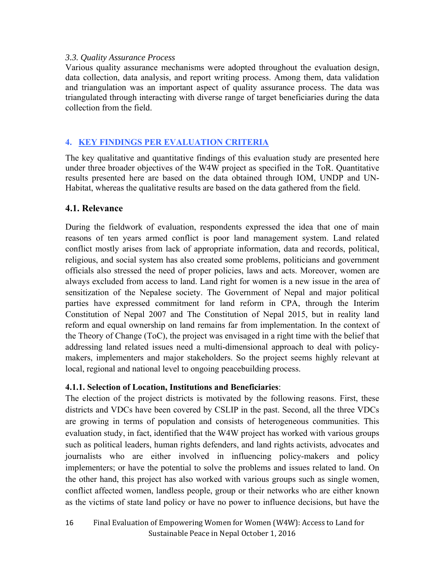#### *3.3. Quality Assurance Process*

Various quality assurance mechanisms were adopted throughout the evaluation design, data collection, data analysis, and report writing process. Among them, data validation and triangulation was an important aspect of quality assurance process. The data was triangulated through interacting with diverse range of target beneficiaries during the data collection from the field.

## **4. KEY FINDINGS PER EVALUATION CRITERIA**

The key qualitative and quantitative findings of this evaluation study are presented here under three broader objectives of the W4W project as specified in the ToR. Quantitative results presented here are based on the data obtained through IOM, UNDP and UN-Habitat, whereas the qualitative results are based on the data gathered from the field.

## **4.1. Relevance**

During the fieldwork of evaluation, respondents expressed the idea that one of main reasons of ten years armed conflict is poor land management system. Land related conflict mostly arises from lack of appropriate information, data and records, political, religious, and social system has also created some problems, politicians and government officials also stressed the need of proper policies, laws and acts. Moreover, women are always excluded from access to land. Land right for women is a new issue in the area of sensitization of the Nepalese society. The Government of Nepal and major political parties have expressed commitment for land reform in CPA, through the Interim Constitution of Nepal 2007 and The Constitution of Nepal 2015, but in reality land reform and equal ownership on land remains far from implementation. In the context of the Theory of Change (ToC), the project was envisaged in a right time with the belief that addressing land related issues need a multi-dimensional approach to deal with policymakers, implementers and major stakeholders. So the project seems highly relevant at local, regional and national level to ongoing peacebuilding process.

## **4.1.1. Selection of Location, Institutions and Beneficiaries**:

The election of the project districts is motivated by the following reasons. First, these districts and VDCs have been covered by CSLIP in the past. Second, all the three VDCs are growing in terms of population and consists of heterogeneous communities. This evaluation study, in fact, identified that the W4W project has worked with various groups such as political leaders, human rights defenders, and land rights activists, advocates and journalists who are either involved in influencing policy-makers and policy implementers; or have the potential to solve the problems and issues related to land. On the other hand, this project has also worked with various groups such as single women, conflict affected women, landless people, group or their networks who are either known as the victims of state land policy or have no power to influence decisions, but have the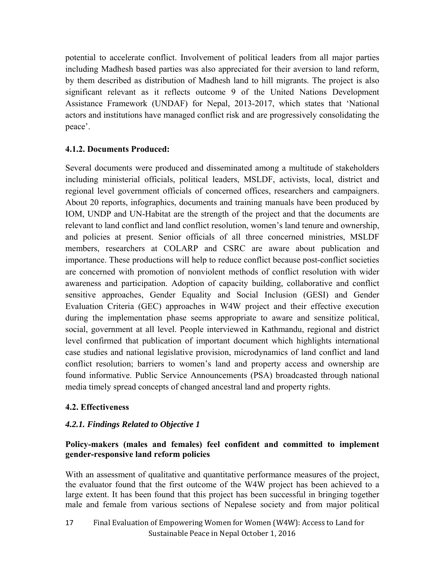potential to accelerate conflict. Involvement of political leaders from all major parties including Madhesh based parties was also appreciated for their aversion to land reform, by them described as distribution of Madhesh land to hill migrants. The project is also significant relevant as it reflects outcome 9 of the United Nations Development Assistance Framework (UNDAF) for Nepal, 2013-2017, which states that 'National actors and institutions have managed conflict risk and are progressively consolidating the peace'.

## **4.1.2. Documents Produced:**

Several documents were produced and disseminated among a multitude of stakeholders including ministerial officials, political leaders, MSLDF, activists, local, district and regional level government officials of concerned offices, researchers and campaigners. About 20 reports, infographics, documents and training manuals have been produced by IOM, UNDP and UN-Habitat are the strength of the project and that the documents are relevant to land conflict and land conflict resolution, women's land tenure and ownership, and policies at present. Senior officials of all three concerned ministries, MSLDF members, researchers at COLARP and CSRC are aware about publication and importance. These productions will help to reduce conflict because post-conflict societies are concerned with promotion of nonviolent methods of conflict resolution with wider awareness and participation. Adoption of capacity building, collaborative and conflict sensitive approaches, Gender Equality and Social Inclusion (GESI) and Gender Evaluation Criteria (GEC) approaches in W4W project and their effective execution during the implementation phase seems appropriate to aware and sensitize political, social, government at all level. People interviewed in Kathmandu, regional and district level confirmed that publication of important document which highlights international case studies and national legislative provision, microdynamics of land conflict and land conflict resolution; barriers to women's land and property access and ownership are found informative. Public Service Announcements (PSA) broadcasted through national media timely spread concepts of changed ancestral land and property rights.

## **4.2. Effectiveness**

## *4.2.1. Findings Related to Objective 1*

## **Policy-makers (males and females) feel confident and committed to implement gender-responsive land reform policies**

With an assessment of qualitative and quantitative performance measures of the project, the evaluator found that the first outcome of the W4W project has been achieved to a large extent. It has been found that this project has been successful in bringing together male and female from various sections of Nepalese society and from major political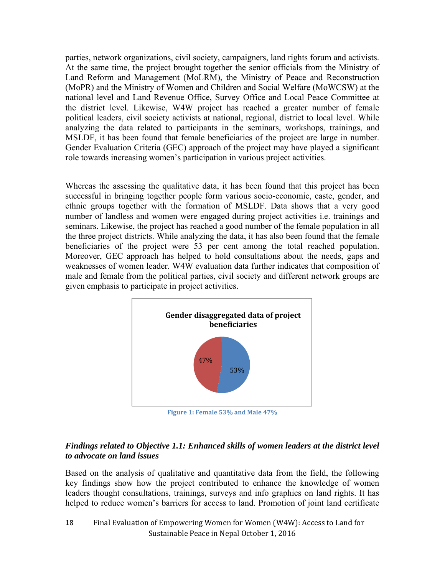parties, network organizations, civil society, campaigners, land rights forum and activists. At the same time, the project brought together the senior officials from the Ministry of Land Reform and Management (MoLRM), the Ministry of Peace and Reconstruction (MoPR) and the Ministry of Women and Children and Social Welfare (MoWCSW) at the national level and Land Revenue Office, Survey Office and Local Peace Committee at the district level. Likewise, W4W project has reached a greater number of female political leaders, civil society activists at national, regional, district to local level. While analyzing the data related to participants in the seminars, workshops, trainings, and MSLDF, it has been found that female beneficiaries of the project are large in number. Gender Evaluation Criteria (GEC) approach of the project may have played a significant role towards increasing women's participation in various project activities.

Whereas the assessing the qualitative data, it has been found that this project has been successful in bringing together people form various socio-economic, caste, gender, and ethnic groups together with the formation of MSLDF. Data shows that a very good number of landless and women were engaged during project activities i.e. trainings and seminars. Likewise, the project has reached a good number of the female population in all the three project districts. While analyzing the data, it has also been found that the female beneficiaries of the project were 53 per cent among the total reached population. Moreover, GEC approach has helped to hold consultations about the needs, gaps and weaknesses of women leader. W4W evaluation data further indicates that composition of male and female from the political parties, civil society and different network groups are given emphasis to participate in project activities.



**Figure 1: Female 53% and Male 47%**

## *Findings related to Objective 1.1: Enhanced skills of women leaders at the district level to advocate on land issues*

Based on the analysis of qualitative and quantitative data from the field, the following key findings show how the project contributed to enhance the knowledge of women leaders thought consultations, trainings, surveys and info graphics on land rights. It has helped to reduce women's barriers for access to land. Promotion of joint land certificate

Final Evaluation of Empowering Women for Women (W4W): Access to Land for Sustainable Peace in Nepal October 1, 2016 18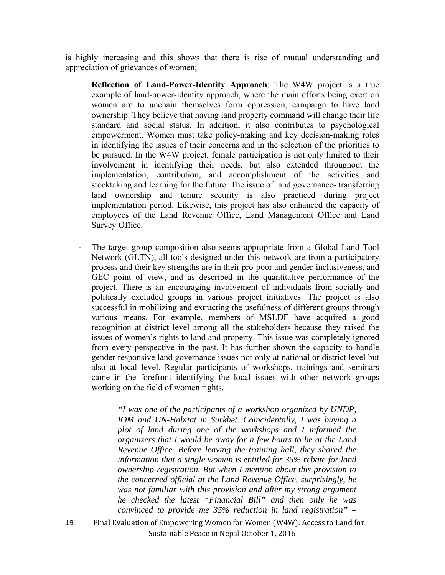is highly increasing and this shows that there is rise of mutual understanding and appreciation of grievances of women;

**Reflection of Land-Power-Identity Approach**: The W4W project is a true example of land-power-identity approach, where the main efforts being exert on women are to unchain themselves form oppression, campaign to have land ownership. They believe that having land property command will change their life standard and social status. In addition, it also contributes to psychological empowerment. Women must take policy-making and key decision-making roles in identifying the issues of their concerns and in the selection of the priorities to be pursued. In the W4W project, female participation is not only limited to their involvement in identifying their needs, but also extended throughout the implementation, contribution, and accomplishment of the activities and stocktaking and learning for the future. The issue of land governance- transferring land ownership and tenure security is also practiced during project implementation period. Likewise, this project has also enhanced the capacity of employees of the Land Revenue Office, Land Management Office and Land Survey Office.

**-** The target group composition also seems appropriate from a Global Land Tool Network (GLTN), all tools designed under this network are from a participatory process and their key strengths are in their pro-poor and gender-inclusiveness, and GEC point of view, and as described in the quantitative performance of the project. There is an encouraging involvement of individuals from socially and politically excluded groups in various project initiatives. The project is also successful in mobilizing and extracting the usefulness of different groups through various means. For example, members of MSLDF have acquired a good recognition at district level among all the stakeholders because they raised the issues of women's rights to land and property. This issue was completely ignored from every perspective in the past. It has further shown the capacity to handle gender responsive land governance issues not only at national or district level but also at local level. Regular participants of workshops, trainings and seminars came in the forefront identifying the local issues with other network groups working on the field of women rights.

> *"I was one of the participants of a workshop organized by UNDP, IOM and UN-Habitat in Surkhet. Coincidentally, I was buying a plot of land during one of the workshops and I informed the organizers that I would be away for a few hours to be at the Land Revenue Office. Before leaving the training hall, they shared the information that a single woman is entitled for 35% rebate for land ownership registration. But when I mention about this provision to the concerned official at the Land Revenue Office, surprisingly, he was not familiar with this provision and after my strong argument he checked the latest "Financial Bill" and then only he was convinced to provide me 35% reduction in land registration" –*

19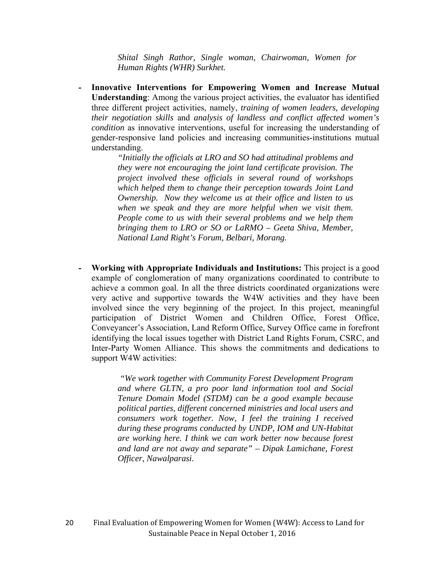*Shital Singh Rathor, Single woman, Chairwoman, Women for Human Rights (WHR) Surkhet.* 

**- Innovative Interventions for Empowering Women and Increase Mutual Understanding**: Among the various project activities, the evaluator has identified three different project activities, namely, *training of women leaders, developing their negotiation skills* and *analysis of landless and conflict affected women's condition* as innovative interventions, useful for increasing the understanding of gender-responsive land policies and increasing communities-institutions mutual understanding.

> *"Initially the officials at LRO and SO had attitudinal problems and they were not encouraging the joint land certificate provision. The project involved these officials in several round of workshops which helped them to change their perception towards Joint Land Ownership. Now they welcome us at their office and listen to us when we speak and they are more helpful when we visit them. People come to us with their several problems and we help them bringing them to LRO or SO or LaRMO – Geeta Shiva, Member, National Land Right's Forum, Belbari, Morang.*

**- Working with Appropriate Individuals and Institutions:** This project is a good example of conglomeration of many organizations coordinated to contribute to achieve a common goal. In all the three districts coordinated organizations were very active and supportive towards the W4W activities and they have been involved since the very beginning of the project. In this project, meaningful participation of District Women and Children Office, Forest Office, Conveyancer's Association, Land Reform Office, Survey Office came in forefront identifying the local issues together with District Land Rights Forum, CSRC, and Inter-Party Women Alliance. This shows the commitments and dedications to support W4W activities:

> *"We work together with Community Forest Development Program and where GLTN, a pro poor land information tool and Social Tenure Domain Model (STDM) can be a good example because political parties, different concerned ministries and local users and consumers work together. Now, I feel the training I received during these programs conducted by UNDP, IOM and UN-Habitat are working here. I think we can work better now because forest and land are not away and separate" – Dipak Lamichane, Forest Officer, Nawalparasi.*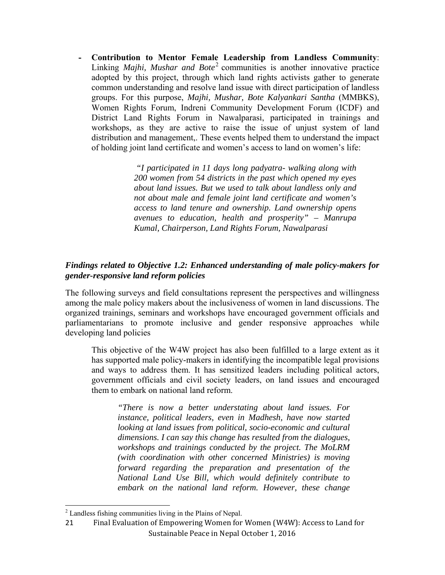**- Contribution to Mentor Female Leadership from Landless Community**: Linking *Majhi, Mushar and Bote*<sup>2</sup> communities is another innovative practice adopted by this project, through which land rights activists gather to generate common understanding and resolve land issue with direct participation of landless groups. For this purpose, *Majhi, Mushar, Bote Kalyankari Santha* (MMBKS), Women Rights Forum, Indreni Community Development Forum (ICDF) and District Land Rights Forum in Nawalparasi, participated in trainings and workshops, as they are active to raise the issue of unjust system of land distribution and management,. These events helped them to understand the impact of holding joint land certificate and women's access to land on women's life:

> *"I participated in 11 days long padyatra- walking along with 200 women from 54 districts in the past which opened my eyes about land issues. But we used to talk about landless only and not about male and female joint land certificate and women's access to land tenure and ownership. Land ownership opens avenues to education, health and prosperity" – Manrupa Kumal, Chairperson, Land Rights Forum, Nawalparasi*

## *Findings related to Objective 1.2: Enhanced understanding of male policy-makers for gender-responsive land reform policies*

The following surveys and field consultations represent the perspectives and willingness among the male policy makers about the inclusiveness of women in land discussions. The organized trainings, seminars and workshops have encouraged government officials and parliamentarians to promote inclusive and gender responsive approaches while developing land policies

This objective of the W4W project has also been fulfilled to a large extent as it has supported male policy-makers in identifying the incompatible legal provisions and ways to address them. It has sensitized leaders including political actors, government officials and civil society leaders, on land issues and encouraged them to embark on national land reform.

*"There is now a better understating about land issues. For instance, political leaders, even in Madhesh, have now started looking at land issues from political, socio-economic and cultural dimensions. I can say this change has resulted from the dialogues, workshops and trainings conducted by the project. The MoLRM (with coordination with other concerned Ministries) is moving forward regarding the preparation and presentation of the National Land Use Bill, which would definitely contribute to embark on the national land reform. However, these change* 

 <sup>2</sup> Landless fishing communities living in the Plains of Nepal.

Final Evaluation of Empowering Women for Women (W4W): Access to Land for Sustainable Peace in Nepal October 1, 2016 21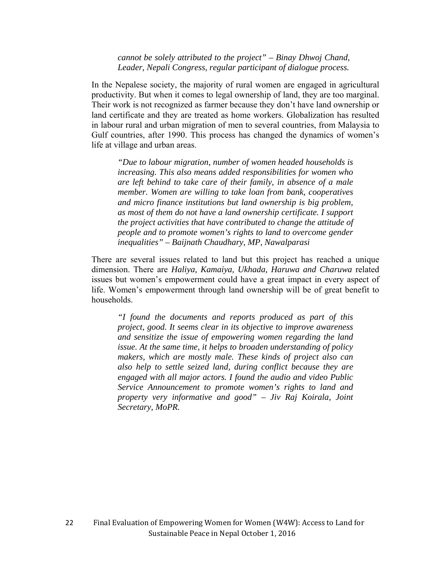#### *cannot be solely attributed to the project" – Binay Dhwoj Chand, Leader, Nepali Congress, regular participant of dialogue process.*

In the Nepalese society, the majority of rural women are engaged in agricultural productivity. But when it comes to legal ownership of land, they are too marginal. Their work is not recognized as farmer because they don't have land ownership or land certificate and they are treated as home workers. Globalization has resulted in labour rural and urban migration of men to several countries, from Malaysia to Gulf countries, after 1990. This process has changed the dynamics of women's life at village and urban areas.

*"Due to labour migration, number of women headed households is increasing. This also means added responsibilities for women who are left behind to take care of their family, in absence of a male member. Women are willing to take loan from bank, cooperatives and micro finance institutions but land ownership is big problem, as most of them do not have a land ownership certificate. I support the project activities that have contributed to change the attitude of people and to promote women's rights to land to overcome gender inequalities" – Baijnath Chaudhary, MP, Nawalparasi* 

There are several issues related to land but this project has reached a unique dimension. There are *Haliya, Kamaiya, Ukhada, Haruwa and Charuwa* related issues but women's empowerment could have a great impact in every aspect of life. Women's empowerment through land ownership will be of great benefit to households.

*"I found the documents and reports produced as part of this project, good. It seems clear in its objective to improve awareness and sensitize the issue of empowering women regarding the land issue. At the same time, it helps to broaden understanding of policy makers, which are mostly male. These kinds of project also can also help to settle seized land, during conflict because they are engaged with all major actors. I found the audio and video Public Service Announcement to promote women's rights to land and property very informative and good" – Jiv Raj Koirala, Joint Secretary, MoPR.*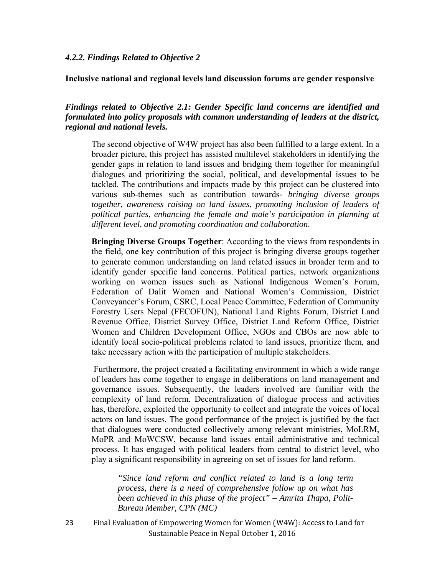#### **Inclusive national and regional levels land discussion forums are gender responsive**

#### *Findings related to Objective 2.1: Gender Specific land concerns are identified and formulated into policy proposals with common understanding of leaders at the district, regional and national levels.*

The second objective of W4W project has also been fulfilled to a large extent. In a broader picture, this project has assisted multilevel stakeholders in identifying the gender gaps in relation to land issues and bridging them together for meaningful dialogues and prioritizing the social, political, and developmental issues to be tackled. The contributions and impacts made by this project can be clustered into various sub-themes such as contribution towards*- bringing diverse groups together, awareness raising on land issues*, *promoting inclusion of leaders of political parties*, *enhancing the female and male's participation in planning at different level, and promoting coordination and collaboration*.

**Bringing Diverse Groups Together**: According to the views from respondents in the field, one key contribution of this project is bringing diverse groups together to generate common understanding on land related issues in broader term and to identify gender specific land concerns. Political parties, network organizations working on women issues such as National Indigenous Women's Forum, Federation of Dalit Women and National Women's Commission, District Conveyancer's Forum, CSRC, Local Peace Committee, Federation of Community Forestry Users Nepal (FECOFUN), National Land Rights Forum, District Land Revenue Office, District Survey Office, District Land Reform Office, District Women and Children Development Office, NGOs and CBOs are now able to identify local socio-political problems related to land issues, prioritize them, and take necessary action with the participation of multiple stakeholders.

 Furthermore, the project created a facilitating environment in which a wide range of leaders has come together to engage in deliberations on land management and governance issues. Subsequently, the leaders involved are familiar with the complexity of land reform. Decentralization of dialogue process and activities has, therefore, exploited the opportunity to collect and integrate the voices of local actors on land issues. The good performance of the project is justified by the fact that dialogues were conducted collectively among relevant ministries, MoLRM, MoPR and MoWCSW, because land issues entail administrative and technical process. It has engaged with political leaders from central to district level, who play a significant responsibility in agreeing on set of issues for land reform.

*"Since land reform and conflict related to land is a long term process, there is a need of comprehensive follow up on what has been achieved in this phase of the project" – Amrita Thapa, Polit-Bureau Member, CPN (MC)*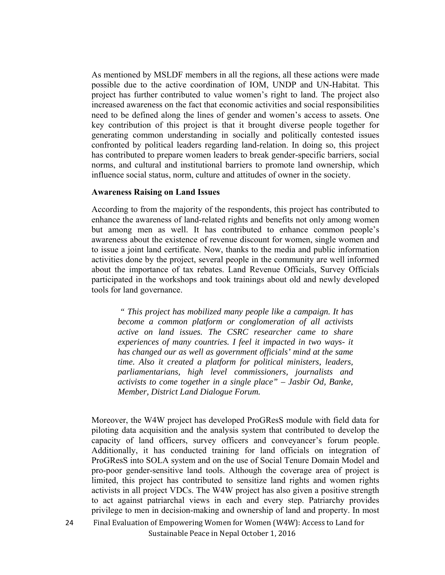As mentioned by MSLDF members in all the regions, all these actions were made possible due to the active coordination of IOM, UNDP and UN-Habitat. This project has further contributed to value women's right to land. The project also increased awareness on the fact that economic activities and social responsibilities need to be defined along the lines of gender and women's access to assets. One key contribution of this project is that it brought diverse people together for generating common understanding in socially and politically contested issues confronted by political leaders regarding land-relation. In doing so, this project has contributed to prepare women leaders to break gender-specific barriers, social norms, and cultural and institutional barriers to promote land ownership, which influence social status, norm, culture and attitudes of owner in the society.

#### **Awareness Raising on Land Issues**

According to from the majority of the respondents, this project has contributed to enhance the awareness of land-related rights and benefits not only among women but among men as well. It has contributed to enhance common people's awareness about the existence of revenue discount for women, single women and to issue a joint land certificate. Now, thanks to the media and public information activities done by the project, several people in the community are well informed about the importance of tax rebates. Land Revenue Officials, Survey Officials participated in the workshops and took trainings about old and newly developed tools for land governance.

*" This project has mobilized many people like a campaign. It has become a common platform or conglomeration of all activists active on land issues. The CSRC researcher came to share experiences of many countries. I feel it impacted in two ways- it has changed our as well as government officials' mind at the same time. Also it created a platform for political ministers, leaders, parliamentarians, high level commissioners, journalists and activists to come together in a single place" – Jasbir Od, Banke, Member, District Land Dialogue Forum.* 

Moreover, the W4W project has developed ProGResS module with field data for piloting data acquisition and the analysis system that contributed to develop the capacity of land officers, survey officers and conveyancer's forum people. Additionally, it has conducted training for land officials on integration of ProGResS into SOLA system and on the use of Social Tenure Domain Model and pro-poor gender-sensitive land tools. Although the coverage area of project is limited, this project has contributed to sensitize land rights and women rights activists in all project VDCs. The W4W project has also given a positive strength to act against patriarchal views in each and every step. Patriarchy provides privilege to men in decision-making and ownership of land and property. In most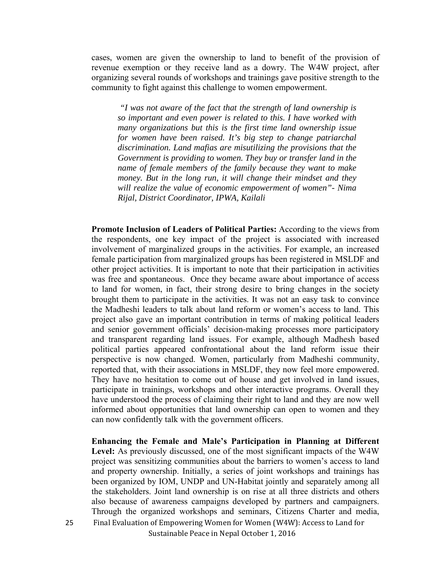cases, women are given the ownership to land to benefit of the provision of revenue exemption or they receive land as a dowry. The W4W project, after organizing several rounds of workshops and trainings gave positive strength to the community to fight against this challenge to women empowerment.

 *"I was not aware of the fact that the strength of land ownership is so important and even power is related to this. I have worked with many organizations but this is the first time land ownership issue for women have been raised. It's big step to change patriarchal discrimination. Land mafias are misutilizing the provisions that the Government is providing to women. They buy or transfer land in the name of female members of the family because they want to make money. But in the long run, it will change their mindset and they will realize the value of economic empowerment of women"- Nima Rijal, District Coordinator, IPWA, Kailali*

**Promote Inclusion of Leaders of Political Parties:** According to the views from the respondents, one key impact of the project is associated with increased involvement of marginalized groups in the activities. For example, an increased female participation from marginalized groups has been registered in MSLDF and other project activities. It is important to note that their participation in activities was free and spontaneous. Once they became aware about importance of access to land for women, in fact, their strong desire to bring changes in the society brought them to participate in the activities. It was not an easy task to convince the Madheshi leaders to talk about land reform or women's access to land. This project also gave an important contribution in terms of making political leaders and senior government officials' decision-making processes more participatory and transparent regarding land issues. For example, although Madhesh based political parties appeared confrontational about the land reform issue their perspective is now changed. Women, particularly from Madheshi community, reported that, with their associations in MSLDF, they now feel more empowered. They have no hesitation to come out of house and get involved in land issues, participate in trainings, workshops and other interactive programs. Overall they have understood the process of claiming their right to land and they are now well informed about opportunities that land ownership can open to women and they can now confidently talk with the government officers.

Final Evaluation of Empowering Women for Women (W4W): Access to Land for **Enhancing the Female and Male's Participation in Planning at Different Level:** As previously discussed, one of the most significant impacts of the W4W project was sensitizing communities about the barriers to women's access to land and property ownership. Initially, a series of joint workshops and trainings has been organized by IOM, UNDP and UN-Habitat jointly and separately among all the stakeholders. Joint land ownership is on rise at all three districts and others also because of awareness campaigns developed by partners and campaigners. Through the organized workshops and seminars, Citizens Charter and media,

Sustainable Peace in Nepal October 1, 2016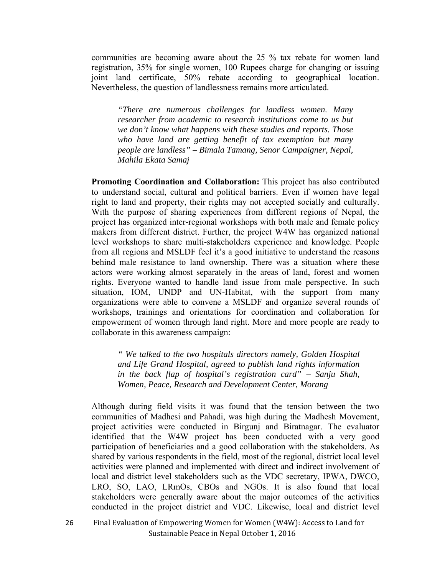communities are becoming aware about the 25 % tax rebate for women land registration, 35% for single women, 100 Rupees charge for changing or issuing joint land certificate, 50% rebate according to geographical location. Nevertheless, the question of landlessness remains more articulated.

*"There are numerous challenges for landless women. Many researcher from academic to research institutions come to us but we don't know what happens with these studies and reports. Those who have land are getting benefit of tax exemption but many people are landless" – Bimala Tamang, Senor Campaigner, Nepal, Mahila Ekata Samaj* 

**Promoting Coordination and Collaboration:** This project has also contributed to understand social, cultural and political barriers. Even if women have legal right to land and property, their rights may not accepted socially and culturally. With the purpose of sharing experiences from different regions of Nepal, the project has organized inter-regional workshops with both male and female policy makers from different district. Further, the project W4W has organized national level workshops to share multi-stakeholders experience and knowledge. People from all regions and MSLDF feel it's a good initiative to understand the reasons behind male resistance to land ownership. There was a situation where these actors were working almost separately in the areas of land, forest and women rights. Everyone wanted to handle land issue from male perspective. In such situation, IOM, UNDP and UN-Habitat, with the support from many organizations were able to convene a MSLDF and organize several rounds of workshops, trainings and orientations for coordination and collaboration for empowerment of women through land right. More and more people are ready to collaborate in this awareness campaign:

*" We talked to the two hospitals directors namely, Golden Hospital and Life Grand Hospital, agreed to publish land rights information in the back flap of hospital's registration card" – Sanju Shah, Women, Peace, Research and Development Center, Morang* 

Although during field visits it was found that the tension between the two communities of Madhesi and Pahadi, was high during the Madhesh Movement, project activities were conducted in Birgunj and Biratnagar. The evaluator identified that the W4W project has been conducted with a very good participation of beneficiaries and a good collaboration with the stakeholders. As shared by various respondents in the field, most of the regional, district local level activities were planned and implemented with direct and indirect involvement of local and district level stakeholders such as the VDC secretary, IPWA, DWCO, LRO, SO, LAO, LRmOs, CBOs and NGOs. It is also found that local stakeholders were generally aware about the major outcomes of the activities conducted in the project district and VDC. Likewise, local and district level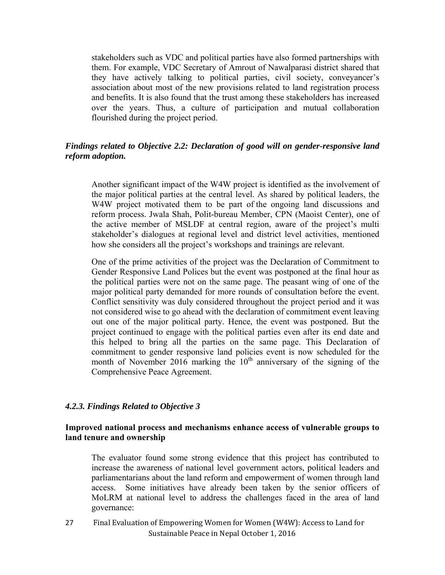stakeholders such as VDC and political parties have also formed partnerships with them. For example, VDC Secretary of Amrout of Nawalparasi district shared that they have actively talking to political parties, civil society, conveyancer's association about most of the new provisions related to land registration process and benefits. It is also found that the trust among these stakeholders has increased over the years. Thus, a culture of participation and mutual collaboration flourished during the project period.

#### *Findings related to Objective 2.2: Declaration of good will on gender-responsive land reform adoption.*

Another significant impact of the W4W project is identified as the involvement of the major political parties at the central level. As shared by political leaders, the W4W project motivated them to be part of the ongoing land discussions and reform process. Jwala Shah, Polit-bureau Member, CPN (Maoist Center), one of the active member of MSLDF at central region, aware of the project's multi stakeholder's dialogues at regional level and district level activities, mentioned how she considers all the project's workshops and trainings are relevant.

One of the prime activities of the project was the Declaration of Commitment to Gender Responsive Land Polices but the event was postponed at the final hour as the political parties were not on the same page. The peasant wing of one of the major political party demanded for more rounds of consultation before the event. Conflict sensitivity was duly considered throughout the project period and it was not considered wise to go ahead with the declaration of commitment event leaving out one of the major political party. Hence, the event was postponed. But the project continued to engage with the political parties even after its end date and this helped to bring all the parties on the same page. This Declaration of commitment to gender responsive land policies event is now scheduled for the month of November 2016 marking the  $10<sup>th</sup>$  anniversary of the signing of the Comprehensive Peace Agreement.

#### *4.2.3. Findings Related to Objective 3*

#### **Improved national process and mechanisms enhance access of vulnerable groups to land tenure and ownership**

The evaluator found some strong evidence that this project has contributed to increase the awareness of national level government actors, political leaders and parliamentarians about the land reform and empowerment of women through land access. Some initiatives have already been taken by the senior officers of MoLRM at national level to address the challenges faced in the area of land governance: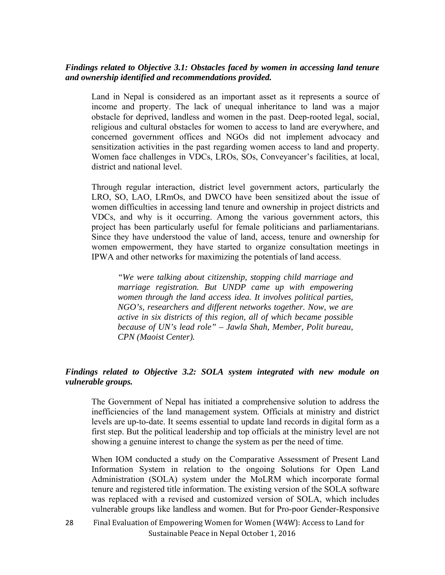#### *Findings related to Objective 3.1: Obstacles faced by women in accessing land tenure and ownership identified and recommendations provided.*

Land in Nepal is considered as an important asset as it represents a source of income and property. The lack of unequal inheritance to land was a major obstacle for deprived, landless and women in the past. Deep-rooted legal, social, religious and cultural obstacles for women to access to land are everywhere, and concerned government offices and NGOs did not implement advocacy and sensitization activities in the past regarding women access to land and property. Women face challenges in VDCs, LROs, SOs, Conveyancer's facilities, at local, district and national level.

Through regular interaction, district level government actors, particularly the LRO, SO, LAO, LRmOs, and DWCO have been sensitized about the issue of women difficulties in accessing land tenure and ownership in project districts and VDCs, and why is it occurring. Among the various government actors, this project has been particularly useful for female politicians and parliamentarians. Since they have understood the value of land, access, tenure and ownership for women empowerment, they have started to organize consultation meetings in IPWA and other networks for maximizing the potentials of land access.

*"We were talking about citizenship, stopping child marriage and marriage registration. But UNDP came up with empowering women through the land access idea. It involves political parties, NGO's, researchers and different networks together. Now, we are active in six districts of this region, all of which became possible because of UN's lead role" – Jawla Shah, Member, Polit bureau, CPN (Maoist Center).* 

### *Findings related to Objective 3.2: SOLA system integrated with new module on vulnerable groups.*

The Government of Nepal has initiated a comprehensive solution to address the inefficiencies of the land management system. Officials at ministry and district levels are up-to-date. It seems essential to update land records in digital form as a first step. But the political leadership and top officials at the ministry level are not showing a genuine interest to change the system as per the need of time.

When IOM conducted a study on the Comparative Assessment of Present Land Information System in relation to the ongoing Solutions for Open Land Administration (SOLA) system under the MoLRM which incorporate formal tenure and registered title information. The existing version of the SOLA software was replaced with a revised and customized version of SOLA, which includes vulnerable groups like landless and women. But for Pro-poor Gender-Responsive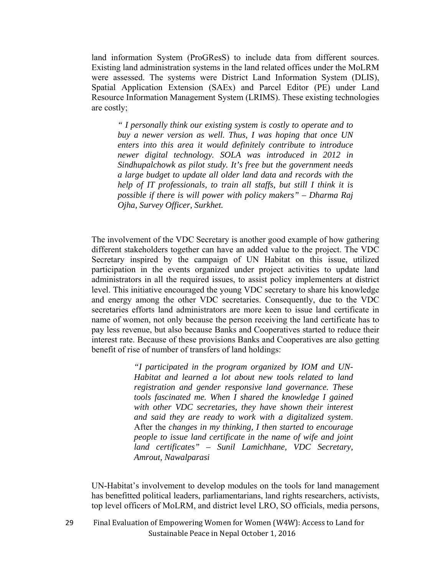land information System (ProGResS) to include data from different sources. Existing land administration systems in the land related offices under the MoLRM were assessed. The systems were District Land Information System (DLIS), Spatial Application Extension (SAEx) and Parcel Editor (PE) under Land Resource Information Management System (LRIMS). These existing technologies are costly;

*" I personally think our existing system is costly to operate and to buy a newer version as well. Thus, I was hoping that once UN enters into this area it would definitely contribute to introduce newer digital technology. SOLA was introduced in 2012 in Sindhupalchowk as pilot study. It's free but the government needs a large budget to update all older land data and records with the help of IT professionals, to train all staffs, but still I think it is possible if there is will power with policy makers" – Dharma Raj Ojha, Survey Officer, Surkhet.* 

The involvement of the VDC Secretary is another good example of how gathering different stakeholders together can have an added value to the project. The VDC Secretary inspired by the campaign of UN Habitat on this issue, utilized participation in the events organized under project activities to update land administrators in all the required issues, to assist policy implementers at district level. This initiative encouraged the young VDC secretary to share his knowledge and energy among the other VDC secretaries. Consequently, due to the VDC secretaries efforts land administrators are more keen to issue land certificate in name of women, not only because the person receiving the land certificate has to pay less revenue, but also because Banks and Cooperatives started to reduce their interest rate. Because of these provisions Banks and Cooperatives are also getting benefit of rise of number of transfers of land holdings:

> *"I participated in the program organized by IOM and UN-Habitat and learned a lot about new tools related to land registration and gender responsive land governance. These tools fascinated me. When I shared the knowledge I gained with other VDC secretaries, they have shown their interest and said they are ready to work with a digitalized system*. After the *changes in my thinking, I then started to encourage people to issue land certificate in the name of wife and joint land certificates" – Sunil Lamichhane, VDC Secretary, Amrout, Nawalparasi*

UN-Habitat's involvement to develop modules on the tools for land management has benefitted political leaders, parliamentarians, land rights researchers, activists, top level officers of MoLRM, and district level LRO, SO officials, media persons,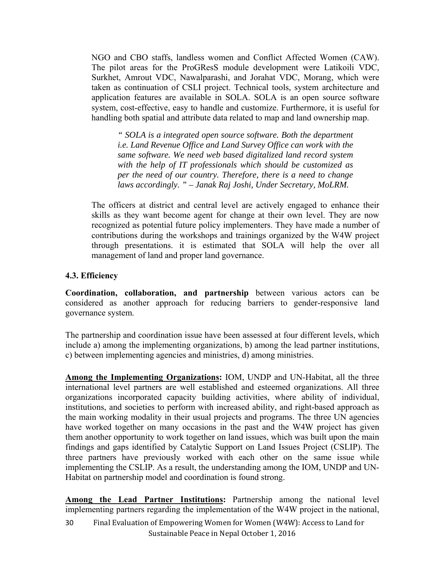NGO and CBO staffs, landless women and Conflict Affected Women (CAW). The pilot areas for the ProGResS module development were Latikoili VDC, Surkhet, Amrout VDC, Nawalparashi, and Jorahat VDC, Morang, which were taken as continuation of CSLI project. Technical tools, system architecture and application features are available in SOLA. SOLA is an open source software system, cost-effective, easy to handle and customize. Furthermore, it is useful for handling both spatial and attribute data related to map and land ownership map.

*" SOLA is a integrated open source software. Both the department i.e. Land Revenue Office and Land Survey Office can work with the same software. We need web based digitalized land record system with the help of IT professionals which should be customized as per the need of our country. Therefore, there is a need to change laws accordingly. " – Janak Raj Joshi, Under Secretary, MoLRM.* 

The officers at district and central level are actively engaged to enhance their skills as they want become agent for change at their own level. They are now recognized as potential future policy implementers. They have made a number of contributions during the workshops and trainings organized by the W4W project through presentations. it is estimated that SOLA will help the over all management of land and proper land governance.

## **4.3. Efficiency**

**Coordination, collaboration, and partnership** between various actors can be considered as another approach for reducing barriers to gender-responsive land governance system.

The partnership and coordination issue have been assessed at four different levels, which include a) among the implementing organizations, b) among the lead partner institutions, c) between implementing agencies and ministries, d) among ministries.

**Among the Implementing Organizations:** IOM, UNDP and UN-Habitat, all the three international level partners are well established and esteemed organizations. All three organizations incorporated capacity building activities, where ability of individual, institutions, and societies to perform with increased ability, and right-based approach as the main working modality in their usual projects and programs. The three UN agencies have worked together on many occasions in the past and the W4W project has given them another opportunity to work together on land issues, which was built upon the main findings and gaps identified by Catalytic Support on Land Issues Project (CSLIP). The three partners have previously worked with each other on the same issue while implementing the CSLIP. As a result, the understanding among the IOM, UNDP and UN-Habitat on partnership model and coordination is found strong.

**Among the Lead Partner Institutions:** Partnership among the national level implementing partners regarding the implementation of the W4W project in the national,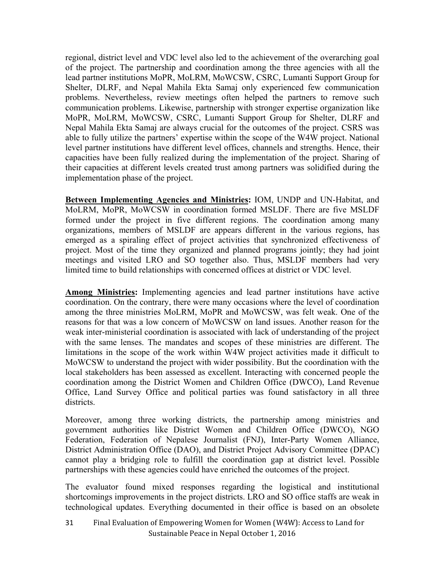regional, district level and VDC level also led to the achievement of the overarching goal of the project. The partnership and coordination among the three agencies with all the lead partner institutions MoPR, MoLRM, MoWCSW, CSRC, Lumanti Support Group for Shelter, DLRF, and Nepal Mahila Ekta Samaj only experienced few communication problems. Nevertheless, review meetings often helped the partners to remove such communication problems. Likewise, partnership with stronger expertise organization like MoPR, MoLRM, MoWCSW, CSRC, Lumanti Support Group for Shelter, DLRF and Nepal Mahila Ekta Samaj are always crucial for the outcomes of the project. CSRS was able to fully utilize the partners' expertise within the scope of the W4W project. National level partner institutions have different level offices, channels and strengths. Hence, their capacities have been fully realized during the implementation of the project. Sharing of their capacities at different levels created trust among partners was solidified during the implementation phase of the project.

**Between Implementing Agencies and Ministries:** IOM, UNDP and UN-Habitat, and MoLRM, MoPR, MoWCSW in coordination formed MSLDF. There are five MSLDF formed under the project in five different regions. The coordination among many organizations, members of MSLDF are appears different in the various regions, has emerged as a spiraling effect of project activities that synchronized effectiveness of project. Most of the time they organized and planned programs jointly; they had joint meetings and visited LRO and SO together also. Thus, MSLDF members had very limited time to build relationships with concerned offices at district or VDC level.

**Among Ministries:** Implementing agencies and lead partner institutions have active coordination. On the contrary, there were many occasions where the level of coordination among the three ministries MoLRM, MoPR and MoWCSW, was felt weak. One of the reasons for that was a low concern of MoWCSW on land issues. Another reason for the weak inter-ministerial coordination is associated with lack of understanding of the project with the same lenses. The mandates and scopes of these ministries are different. The limitations in the scope of the work within W4W project activities made it difficult to MoWCSW to understand the project with wider possibility. But the coordination with the local stakeholders has been assessed as excellent. Interacting with concerned people the coordination among the District Women and Children Office (DWCO), Land Revenue Office, Land Survey Office and political parties was found satisfactory in all three districts.

Moreover, among three working districts, the partnership among ministries and government authorities like District Women and Children Office (DWCO), NGO Federation, Federation of Nepalese Journalist (FNJ), Inter-Party Women Alliance, District Administration Office (DAO), and District Project Advisory Committee (DPAC) cannot play a bridging role to fulfill the coordination gap at district level. Possible partnerships with these agencies could have enriched the outcomes of the project.

The evaluator found mixed responses regarding the logistical and institutional shortcomings improvements in the project districts. LRO and SO office staffs are weak in technological updates. Everything documented in their office is based on an obsolete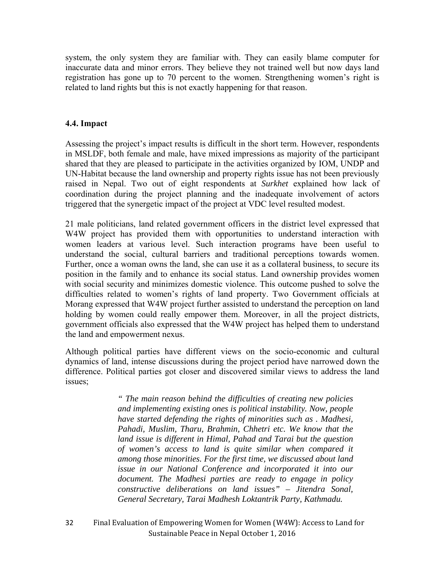system, the only system they are familiar with. They can easily blame computer for inaccurate data and minor errors. They believe they not trained well but now days land registration has gone up to 70 percent to the women. Strengthening women's right is related to land rights but this is not exactly happening for that reason.

#### **4.4. Impact**

Assessing the project's impact results is difficult in the short term. However, respondents in MSLDF, both female and male, have mixed impressions as majority of the participant shared that they are pleased to participate in the activities organized by IOM, UNDP and UN-Habitat because the land ownership and property rights issue has not been previously raised in Nepal. Two out of eight respondents at *Surkhet* explained how lack of coordination during the project planning and the inadequate involvement of actors triggered that the synergetic impact of the project at VDC level resulted modest.

21 male politicians, land related government officers in the district level expressed that W4W project has provided them with opportunities to understand interaction with women leaders at various level. Such interaction programs have been useful to understand the social, cultural barriers and traditional perceptions towards women. Further, once a woman owns the land, she can use it as a collateral business, to secure its position in the family and to enhance its social status. Land ownership provides women with social security and minimizes domestic violence. This outcome pushed to solve the difficulties related to women's rights of land property. Two Government officials at Morang expressed that W4W project further assisted to understand the perception on land holding by women could really empower them. Moreover, in all the project districts, government officials also expressed that the W4W project has helped them to understand the land and empowerment nexus.

Although political parties have different views on the socio-economic and cultural dynamics of land, intense discussions during the project period have narrowed down the difference. Political parties got closer and discovered similar views to address the land issues;

> *" The main reason behind the difficulties of creating new policies and implementing existing ones is political instability. Now, people have started defending the rights of minorities such as . Madhesi, Pahadi, Muslim, Tharu, Brahmin, Chhetri etc. We know that the land issue is different in Himal, Pahad and Tarai but the question of women's access to land is quite similar when compared it among those minorities. For the first time, we discussed about land issue in our National Conference and incorporated it into our document. The Madhesi parties are ready to engage in policy constructive deliberations on land issues" – Jitendra Sonal, General Secretary, Tarai Madhesh Loktantrik Party, Kathmadu.*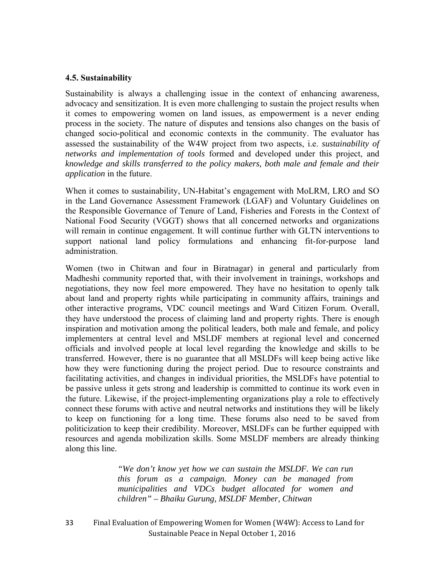#### **4.5. Sustainability**

Sustainability is always a challenging issue in the context of enhancing awareness, advocacy and sensitization. It is even more challenging to sustain the project results when it comes to empowering women on land issues, as empowerment is a never ending process in the society. The nature of disputes and tensions also changes on the basis of changed socio-political and economic contexts in the community. The evaluator has assessed the sustainability of the W4W project from two aspects, i.e. *sustainability of networks and implementation of tools* formed and developed under this project, and *knowledge and skills transferred to the policy makers, both male and female and their application* in the future.

When it comes to sustainability, UN-Habitat's engagement with MoLRM, LRO and SO in the Land Governance Assessment Framework (LGAF) and Voluntary Guidelines on the Responsible Governance of Tenure of Land, Fisheries and Forests in the Context of National Food Security (VGGT) shows that all concerned networks and organizations will remain in continue engagement. It will continue further with GLTN interventions to support national land policy formulations and enhancing fit-for-purpose land administration.

Women (two in Chitwan and four in Biratnagar) in general and particularly from Madheshi community reported that, with their involvement in trainings, workshops and negotiations, they now feel more empowered. They have no hesitation to openly talk about land and property rights while participating in community affairs, trainings and other interactive programs, VDC council meetings and Ward Citizen Forum. Overall, they have understood the process of claiming land and property rights. There is enough inspiration and motivation among the political leaders, both male and female, and policy implementers at central level and MSLDF members at regional level and concerned officials and involved people at local level regarding the knowledge and skills to be transferred. However, there is no guarantee that all MSLDFs will keep being active like how they were functioning during the project period. Due to resource constraints and facilitating activities, and changes in individual priorities, the MSLDFs have potential to be passive unless it gets strong and leadership is committed to continue its work even in the future. Likewise, if the project-implementing organizations play a role to effectively connect these forums with active and neutral networks and institutions they will be likely to keep on functioning for a long time. These forums also need to be saved from politicization to keep their credibility. Moreover, MSLDFs can be further equipped with resources and agenda mobilization skills. Some MSLDF members are already thinking along this line.

> *"We don't know yet how we can sustain the MSLDF. We can run this forum as a campaign. Money can be managed from municipalities and VDCs budget allocated for women and children" – Bhaiku Gurung, MSLDF Member, Chitwan*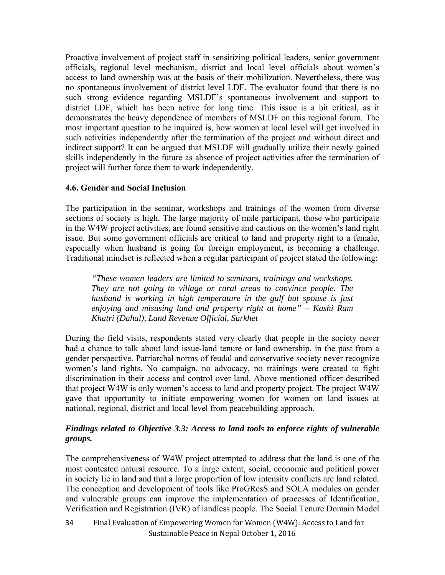Proactive involvement of project staff in sensitizing political leaders, senior government officials, regional level mechanism, district and local level officials about women's access to land ownership was at the basis of their mobilization. Nevertheless, there was no spontaneous involvement of district level LDF. The evaluator found that there is no such strong evidence regarding MSLDF's spontaneous involvement and support to district LDF, which has been active for long time. This issue is a bit critical, as it demonstrates the heavy dependence of members of MSLDF on this regional forum. The most important question to be inquired is, how women at local level will get involved in such activities independently after the termination of the project and without direct and indirect support? It can be argued that MSLDF will gradually utilize their newly gained skills independently in the future as absence of project activities after the termination of project will further force them to work independently.

## **4.6. Gender and Social Inclusion**

The participation in the seminar, workshops and trainings of the women from diverse sections of society is high. The large majority of male participant, those who participate in the W4W project activities, are found sensitive and cautious on the women's land right issue. But some government officials are critical to land and property right to a female, especially when husband is going for foreign employment, is becoming a challenge. Traditional mindset is reflected when a regular participant of project stated the following:

*"These women leaders are limited to seminars, trainings and workshops. They are not going to village or rural areas to convince people. The husband is working in high temperature in the gulf but spouse is just enjoying and misusing land and property right at home" – Kashi Ram Khatri (Dahal), Land Revenue Official, Surkhet* 

During the field visits, respondents stated very clearly that people in the society never had a chance to talk about land issue-land tenure or land ownership, in the past from a gender perspective. Patriarchal norms of feudal and conservative society never recognize women's land rights. No campaign, no advocacy, no trainings were created to fight discrimination in their access and control over land. Above mentioned officer described that project W4W is only women's access to land and property project. The project W4W gave that opportunity to initiate empowering women for women on land issues at national, regional, district and local level from peacebuilding approach.

## *Findings related to Objective 3.3: Access to land tools to enforce rights of vulnerable groups.*

The comprehensiveness of W4W project attempted to address that the land is one of the most contested natural resource. To a large extent, social, economic and political power in society lie in land and that a large proportion of low intensity conflicts are land related. The conception and development of tools like ProGResS and SOLA modules on gender and vulnerable groups can improve the implementation of processes of Identification, Verification and Registration (IVR) of landless people. The Social Tenure Domain Model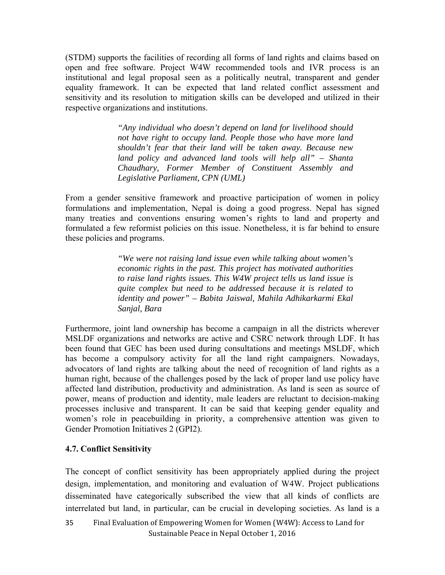(STDM) supports the facilities of recording all forms of land rights and claims based on open and free software. Project W4W recommended tools and IVR process is an institutional and legal proposal seen as a politically neutral, transparent and gender equality framework. It can be expected that land related conflict assessment and sensitivity and its resolution to mitigation skills can be developed and utilized in their respective organizations and institutions.

> *"Any individual who doesn't depend on land for livelihood should not have right to occupy land. People those who have more land shouldn't fear that their land will be taken away. Because new land policy and advanced land tools will help all" – Shanta Chaudhary, Former Member of Constituent Assembly and Legislative Parliament, CPN (UML)*

From a gender sensitive framework and proactive participation of women in policy formulations and implementation, Nepal is doing a good progress. Nepal has signed many treaties and conventions ensuring women's rights to land and property and formulated a few reformist policies on this issue. Nonetheless, it is far behind to ensure these policies and programs.

> *"We were not raising land issue even while talking about women's economic rights in the past. This project has motivated authorities to raise land rights issues. This W4W project tells us land issue is quite complex but need to be addressed because it is related to identity and power" – Babita Jaiswal, Mahila Adhikarkarmi Ekal Sanjal, Bara*

Furthermore, joint land ownership has become a campaign in all the districts wherever MSLDF organizations and networks are active and CSRC network through LDF. It has been found that GEC has been used during consultations and meetings MSLDF, which has become a compulsory activity for all the land right campaigners. Nowadays, advocators of land rights are talking about the need of recognition of land rights as a human right, because of the challenges posed by the lack of proper land use policy have affected land distribution, productivity and administration. As land is seen as source of power, means of production and identity, male leaders are reluctant to decision-making processes inclusive and transparent. It can be said that keeping gender equality and women's role in peacebuilding in priority, a comprehensive attention was given to Gender Promotion Initiatives 2 (GPI2).

#### **4.7. Conflict Sensitivity**

The concept of conflict sensitivity has been appropriately applied during the project design, implementation, and monitoring and evaluation of W4W. Project publications disseminated have categorically subscribed the view that all kinds of conflicts are interrelated but land, in particular, can be crucial in developing societies. As land is a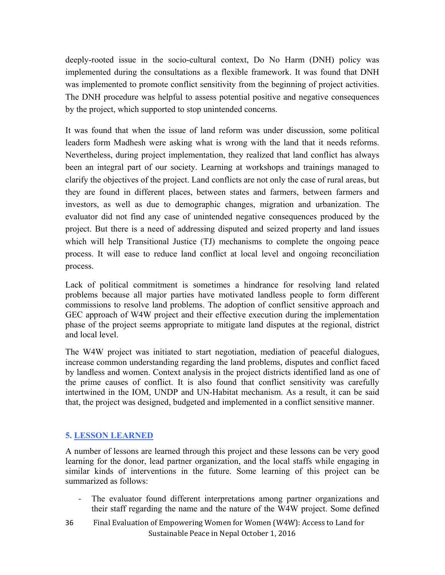deeply-rooted issue in the socio-cultural context, Do No Harm (DNH) policy was implemented during the consultations as a flexible framework. It was found that DNH was implemented to promote conflict sensitivity from the beginning of project activities. The DNH procedure was helpful to assess potential positive and negative consequences by the project, which supported to stop unintended concerns.

It was found that when the issue of land reform was under discussion, some political leaders form Madhesh were asking what is wrong with the land that it needs reforms. Nevertheless, during project implementation, they realized that land conflict has always been an integral part of our society. Learning at workshops and trainings managed to clarify the objectives of the project. Land conflicts are not only the case of rural areas, but they are found in different places, between states and farmers, between farmers and investors, as well as due to demographic changes, migration and urbanization. The evaluator did not find any case of unintended negative consequences produced by the project. But there is a need of addressing disputed and seized property and land issues which will help Transitional Justice (TJ) mechanisms to complete the ongoing peace process. It will ease to reduce land conflict at local level and ongoing reconciliation process.

Lack of political commitment is sometimes a hindrance for resolving land related problems because all major parties have motivated landless people to form different commissions to resolve land problems. The adoption of conflict sensitive approach and GEC approach of W4W project and their effective execution during the implementation phase of the project seems appropriate to mitigate land disputes at the regional, district and local level.

The W4W project was initiated to start negotiation, mediation of peaceful dialogues, increase common understanding regarding the land problems, disputes and conflict faced by landless and women. Context analysis in the project districts identified land as one of the prime causes of conflict. It is also found that conflict sensitivity was carefully intertwined in the IOM, UNDP and UN-Habitat mechanism. As a result, it can be said that, the project was designed, budgeted and implemented in a conflict sensitive manner.

#### **5. LESSON LEARNED**

A number of lessons are learned through this project and these lessons can be very good learning for the donor, lead partner organization, and the local staffs while engaging in similar kinds of interventions in the future. Some learning of this project can be summarized as follows:

- The evaluator found different interpretations among partner organizations and their staff regarding the name and the nature of the W4W project. Some defined
- Final Evaluation of Empowering Women for Women (W4W): Access to Land for Sustainable Peace in Nepal October 1, 2016 36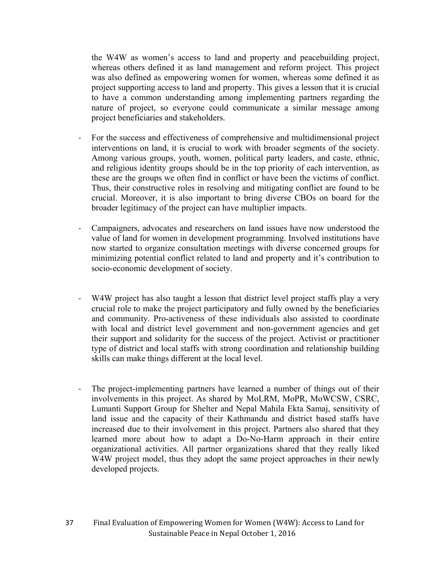the W4W as women's access to land and property and peacebuilding project, whereas others defined it as land management and reform project. This project was also defined as empowering women for women, whereas some defined it as project supporting access to land and property. This gives a lesson that it is crucial to have a common understanding among implementing partners regarding the nature of project, so everyone could communicate a similar message among project beneficiaries and stakeholders.

- ‐ For the success and effectiveness of comprehensive and multidimensional project interventions on land, it is crucial to work with broader segments of the society. Among various groups, youth, women, political party leaders, and caste, ethnic, and religious identity groups should be in the top priority of each intervention, as these are the groups we often find in conflict or have been the victims of conflict. Thus, their constructive roles in resolving and mitigating conflict are found to be crucial. Moreover, it is also important to bring diverse CBOs on board for the broader legitimacy of the project can have multiplier impacts.
- ‐ Campaigners, advocates and researchers on land issues have now understood the value of land for women in development programming. Involved institutions have now started to organize consultation meetings with diverse concerned groups for minimizing potential conflict related to land and property and it's contribution to socio-economic development of society.
- W4W project has also taught a lesson that district level project staffs play a very crucial role to make the project participatory and fully owned by the beneficiaries and community. Pro-activeness of these individuals also assisted to coordinate with local and district level government and non-government agencies and get their support and solidarity for the success of the project. Activist or practitioner type of district and local staffs with strong coordination and relationship building skills can make things different at the local level.
- ‐ The project-implementing partners have learned a number of things out of their involvements in this project. As shared by MoLRM, MoPR, MoWCSW, CSRC, Lumanti Support Group for Shelter and Nepal Mahila Ekta Samaj, sensitivity of land issue and the capacity of their Kathmandu and district based staffs have increased due to their involvement in this project. Partners also shared that they learned more about how to adapt a Do-No-Harm approach in their entire organizational activities. All partner organizations shared that they really liked W4W project model, thus they adopt the same project approaches in their newly developed projects.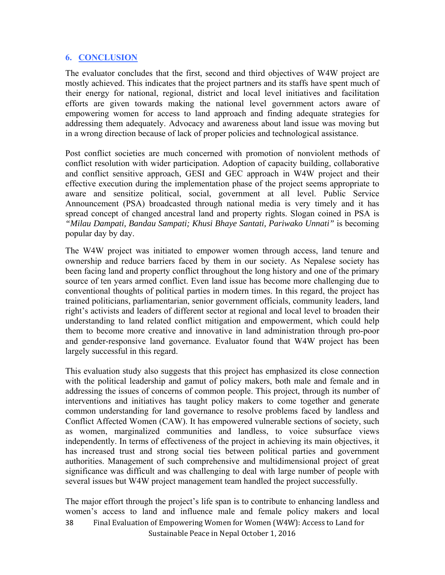#### **6. CONCLUSION**

The evaluator concludes that the first, second and third objectives of W4W project are mostly achieved. This indicates that the project partners and its staffs have spent much of their energy for national, regional, district and local level initiatives and facilitation efforts are given towards making the national level government actors aware of empowering women for access to land approach and finding adequate strategies for addressing them adequately. Advocacy and awareness about land issue was moving but in a wrong direction because of lack of proper policies and technological assistance.

Post conflict societies are much concerned with promotion of nonviolent methods of conflict resolution with wider participation. Adoption of capacity building, collaborative and conflict sensitive approach, GESI and GEC approach in W4W project and their effective execution during the implementation phase of the project seems appropriate to aware and sensitize political, social, government at all level. Public Service Announcement (PSA) broadcasted through national media is very timely and it has spread concept of changed ancestral land and property rights. Slogan coined in PSA is *"Milau Dampati, Bandau Sampati; Khusi Bhaye Santati, Pariwako Unnati"* is becoming popular day by day.

The W4W project was initiated to empower women through access, land tenure and ownership and reduce barriers faced by them in our society. As Nepalese society has been facing land and property conflict throughout the long history and one of the primary source of ten years armed conflict. Even land issue has become more challenging due to conventional thoughts of political parties in modern times. In this regard, the project has trained politicians, parliamentarian, senior government officials, community leaders, land right's activists and leaders of different sector at regional and local level to broaden their understanding to land related conflict mitigation and empowerment, which could help them to become more creative and innovative in land administration through pro-poor and gender-responsive land governance. Evaluator found that W4W project has been largely successful in this regard.

This evaluation study also suggests that this project has emphasized its close connection with the political leadership and gamut of policy makers, both male and female and in addressing the issues of concerns of common people. This project, through its number of interventions and initiatives has taught policy makers to come together and generate common understanding for land governance to resolve problems faced by landless and Conflict Affected Women (CAW). It has empowered vulnerable sections of society, such as women, marginalized communities and landless, to voice subsurface views independently. In terms of effectiveness of the project in achieving its main objectives, it has increased trust and strong social ties between political parties and government authorities. Management of such comprehensive and multidimensional project of great significance was difficult and was challenging to deal with large number of people with several issues but W4W project management team handled the project successfully.

Final Evaluation of Empowering Women for Women (W4W): Access to Land for Sustainable Peace in Nepal October 1, 2016 38 The major effort through the project's life span is to contribute to enhancing landless and women's access to land and influence male and female policy makers and local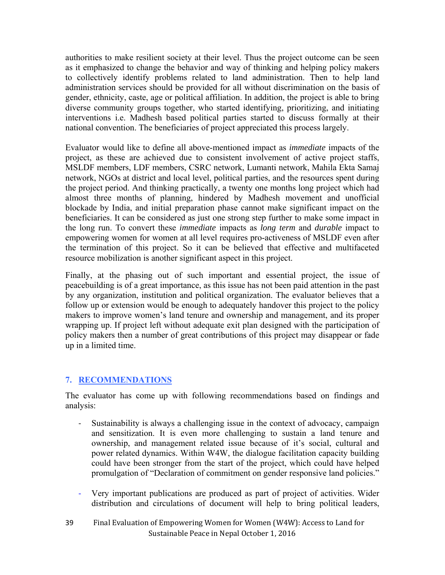authorities to make resilient society at their level. Thus the project outcome can be seen as it emphasized to change the behavior and way of thinking and helping policy makers to collectively identify problems related to land administration. Then to help land administration services should be provided for all without discrimination on the basis of gender, ethnicity, caste, age or political affiliation. In addition, the project is able to bring diverse community groups together, who started identifying, prioritizing, and initiating interventions i.e. Madhesh based political parties started to discuss formally at their national convention. The beneficiaries of project appreciated this process largely.

Evaluator would like to define all above-mentioned impact as *immediate* impacts of the project, as these are achieved due to consistent involvement of active project staffs, MSLDF members, LDF members, CSRC network, Lumanti network, Mahila Ekta Samaj network, NGOs at district and local level, political parties, and the resources spent during the project period. And thinking practically, a twenty one months long project which had almost three months of planning, hindered by Madhesh movement and unofficial blockade by India, and initial preparation phase cannot make significant impact on the beneficiaries. It can be considered as just one strong step further to make some impact in the long run. To convert these *immediate* impacts as *long term* and *durable* impact to empowering women for women at all level requires pro-activeness of MSLDF even after the termination of this project. So it can be believed that effective and multifaceted resource mobilization is another significant aspect in this project.

Finally, at the phasing out of such important and essential project, the issue of peacebuilding is of a great importance, as this issue has not been paid attention in the past by any organization, institution and political organization. The evaluator believes that a follow up or extension would be enough to adequately handover this project to the policy makers to improve women's land tenure and ownership and management, and its proper wrapping up. If project left without adequate exit plan designed with the participation of policy makers then a number of great contributions of this project may disappear or fade up in a limited time.

## **7. RECOMMENDATIONS**

The evaluator has come up with following recommendations based on findings and analysis:

- ‐ Sustainability is always a challenging issue in the context of advocacy, campaign and sensitization. It is even more challenging to sustain a land tenure and ownership, and management related issue because of it's social, cultural and power related dynamics. Within W4W, the dialogue facilitation capacity building could have been stronger from the start of the project, which could have helped promulgation of "Declaration of commitment on gender responsive land policies."
- ‐ Very important publications are produced as part of project of activities. Wider distribution and circulations of document will help to bring political leaders,
- Final Evaluation of Empowering Women for Women (W4W): Access to Land for Sustainable Peace in Nepal October 1, 2016 39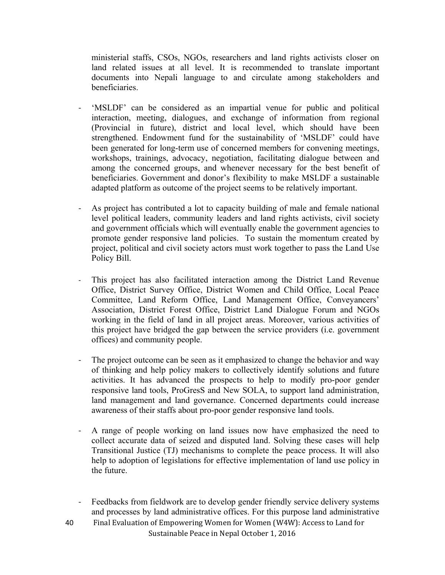ministerial staffs, CSOs, NGOs, researchers and land rights activists closer on land related issues at all level. It is recommended to translate important documents into Nepali language to and circulate among stakeholders and beneficiaries.

- ‐ 'MSLDF' can be considered as an impartial venue for public and political interaction, meeting, dialogues, and exchange of information from regional (Provincial in future), district and local level, which should have been strengthened. Endowment fund for the sustainability of 'MSLDF' could have been generated for long-term use of concerned members for convening meetings, workshops, trainings, advocacy, negotiation, facilitating dialogue between and among the concerned groups, and whenever necessary for the best benefit of beneficiaries. Government and donor's flexibility to make MSLDF a sustainable adapted platform as outcome of the project seems to be relatively important.
- ‐ As project has contributed a lot to capacity building of male and female national level political leaders, community leaders and land rights activists, civil society and government officials which will eventually enable the government agencies to promote gender responsive land policies. To sustain the momentum created by project, political and civil society actors must work together to pass the Land Use Policy Bill.
- ‐ This project has also facilitated interaction among the District Land Revenue Office, District Survey Office, District Women and Child Office, Local Peace Committee, Land Reform Office, Land Management Office, Conveyancers' Association, District Forest Office, District Land Dialogue Forum and NGOs working in the field of land in all project areas. Moreover, various activities of this project have bridged the gap between the service providers (i.e. government offices) and community people.
- The project outcome can be seen as it emphasized to change the behavior and way of thinking and help policy makers to collectively identify solutions and future activities. It has advanced the prospects to help to modify pro-poor gender responsive land tools, ProGresS and New SOLA, to support land administration, land management and land governance. Concerned departments could increase awareness of their staffs about pro-poor gender responsive land tools.
- ‐ A range of people working on land issues now have emphasized the need to collect accurate data of seized and disputed land. Solving these cases will help Transitional Justice (TJ) mechanisms to complete the peace process. It will also help to adoption of legislations for effective implementation of land use policy in the future.
- ‐ Feedbacks from fieldwork are to develop gender friendly service delivery systems and processes by land administrative offices. For this purpose land administrative
- Final Evaluation of Empowering Women for Women (W4W): Access to Land for Sustainable Peace in Nepal October 1, 2016 40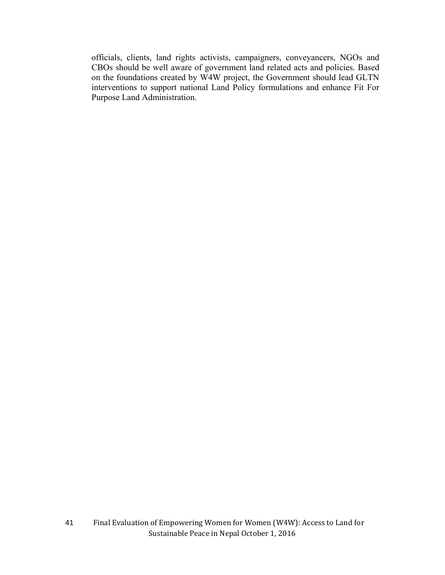officials, clients, land rights activists, campaigners, conveyancers, NGOs and CBOs should be well aware of government land related acts and policies. Based on the foundations created by W4W project, the Government should lead GLTN interventions to support national Land Policy formulations and enhance Fit For Purpose Land Administration.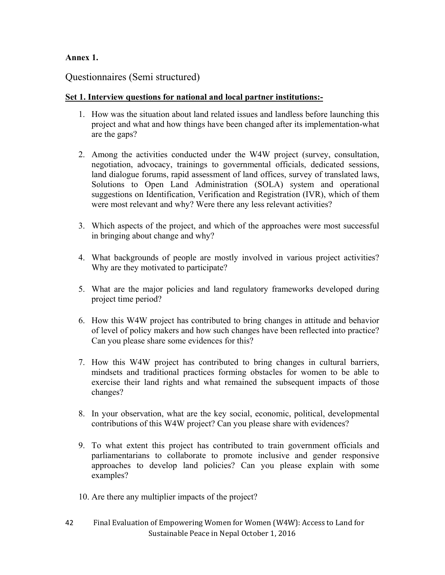## **Annex 1.**

## Questionnaires (Semi structured)

### **Set 1. Interview questions for national and local partner institutions:-**

- 1. How was the situation about land related issues and landless before launching this project and what and how things have been changed after its implementation-what are the gaps?
- 2. Among the activities conducted under the W4W project (survey, consultation, negotiation, advocacy, trainings to governmental officials, dedicated sessions, land dialogue forums, rapid assessment of land offices, survey of translated laws, Solutions to Open Land Administration (SOLA) system and operational suggestions on Identification, Verification and Registration (IVR), which of them were most relevant and why? Were there any less relevant activities?
- 3. Which aspects of the project, and which of the approaches were most successful in bringing about change and why?
- 4. What backgrounds of people are mostly involved in various project activities? Why are they motivated to participate?
- 5. What are the major policies and land regulatory frameworks developed during project time period?
- 6. How this W4W project has contributed to bring changes in attitude and behavior of level of policy makers and how such changes have been reflected into practice? Can you please share some evidences for this?
- 7. How this W4W project has contributed to bring changes in cultural barriers, mindsets and traditional practices forming obstacles for women to be able to exercise their land rights and what remained the subsequent impacts of those changes?
- 8. In your observation, what are the key social, economic, political, developmental contributions of this W4W project? Can you please share with evidences?
- 9. To what extent this project has contributed to train government officials and parliamentarians to collaborate to promote inclusive and gender responsive approaches to develop land policies? Can you please explain with some examples?
- 10. Are there any multiplier impacts of the project?
- Final Evaluation of Empowering Women for Women (W4W): Access to Land for Sustainable Peace in Nepal October 1, 2016 42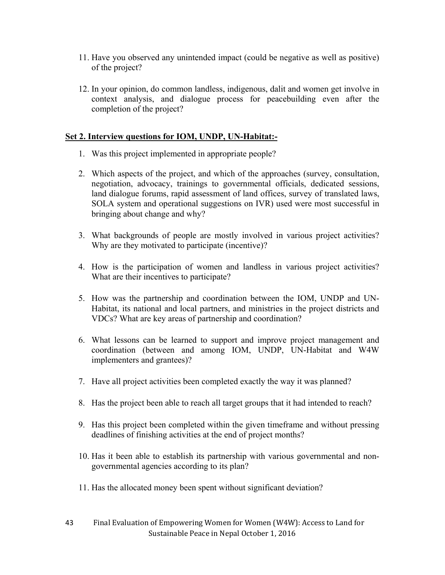- 11. Have you observed any unintended impact (could be negative as well as positive) of the project?
- 12. In your opinion, do common landless, indigenous, dalit and women get involve in context analysis, and dialogue process for peacebuilding even after the completion of the project?

### **Set 2. Interview questions for IOM, UNDP, UN-Habitat:-**

- 1. Was this project implemented in appropriate people?
- 2. Which aspects of the project, and which of the approaches (survey, consultation, negotiation, advocacy, trainings to governmental officials, dedicated sessions, land dialogue forums, rapid assessment of land offices, survey of translated laws, SOLA system and operational suggestions on IVR) used were most successful in bringing about change and why?
- 3. What backgrounds of people are mostly involved in various project activities? Why are they motivated to participate (incentive)?
- 4. How is the participation of women and landless in various project activities? What are their incentives to participate?
- 5. How was the partnership and coordination between the IOM, UNDP and UN-Habitat, its national and local partners, and ministries in the project districts and VDCs? What are key areas of partnership and coordination?
- 6. What lessons can be learned to support and improve project management and coordination (between and among IOM, UNDP, UN-Habitat and W4W implementers and grantees)?
- 7. Have all project activities been completed exactly the way it was planned?
- 8. Has the project been able to reach all target groups that it had intended to reach?
- 9. Has this project been completed within the given timeframe and without pressing deadlines of finishing activities at the end of project months?
- 10. Has it been able to establish its partnership with various governmental and nongovernmental agencies according to its plan?
- 11. Has the allocated money been spent without significant deviation?
- Final Evaluation of Empowering Women for Women (W4W): Access to Land for Sustainable Peace in Nepal October 1, 2016 43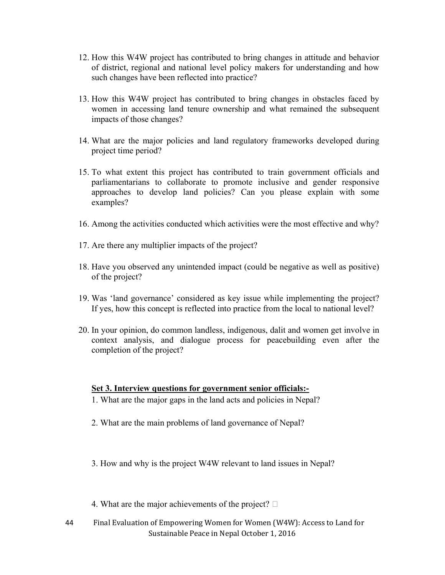- 12. How this W4W project has contributed to bring changes in attitude and behavior of district, regional and national level policy makers for understanding and how such changes have been reflected into practice?
- 13. How this W4W project has contributed to bring changes in obstacles faced by women in accessing land tenure ownership and what remained the subsequent impacts of those changes?
- 14. What are the major policies and land regulatory frameworks developed during project time period?
- 15. To what extent this project has contributed to train government officials and parliamentarians to collaborate to promote inclusive and gender responsive approaches to develop land policies? Can you please explain with some examples?
- 16. Among the activities conducted which activities were the most effective and why?
- 17. Are there any multiplier impacts of the project?
- 18. Have you observed any unintended impact (could be negative as well as positive) of the project?
- 19. Was 'land governance' considered as key issue while implementing the project? If yes, how this concept is reflected into practice from the local to national level?
- 20. In your opinion, do common landless, indigenous, dalit and women get involve in context analysis, and dialogue process for peacebuilding even after the completion of the project?

#### **Set 3. Interview questions for government senior officials:-**

- 1. What are the major gaps in the land acts and policies in Nepal?
- 2. What are the main problems of land governance of Nepal?
- 3. How and why is the project W4W relevant to land issues in Nepal?
- 4. What are the major achievements of the project?  $\square$
- Final Evaluation of Empowering Women for Women (W4W): Access to Land for Sustainable Peace in Nepal October 1, 2016 44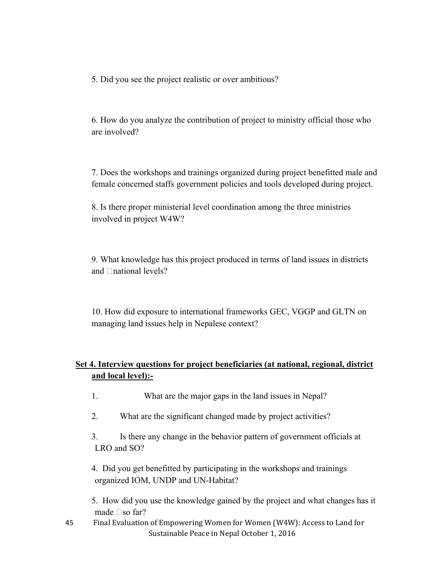5. Did you see the project realistic or over ambitious?

6. How do you analyze the contribution of project to ministry official those who are involved?

7. Does the workshops and trainings organized during project benefitted male and female concerned staffs government policies and tools developed during project.

8. Is there proper ministerial level coordination among the three ministries involved in project W4W?

9. What knowledge has this project produced in terms of land issues in districts and  $\Box$ national levels?

10. How did exposure to international frameworks GEC, VGGP and GLTN on managing land issues help in Nepalese context?

## **Set 4. Interview questions for project beneficiaries (at national, regional, district and local level):-**

- 1. What are the major gaps in the land issues in Nepal?
- 2. What are the significant changed made by project activities?

3. Is there any change in the behavior pattern of government officials at LRO and SO?

4. Did you get benefitted by participating in the workshops and trainings organized IOM, UNDP and UN-Habitat?

5. How did you use the knowledge gained by the project and what changes has it made  $\square$ so far?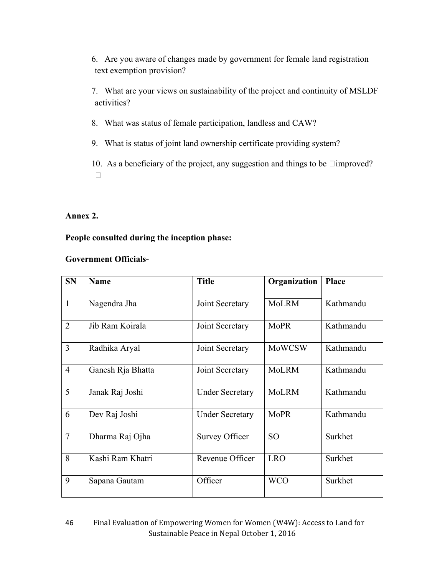6. Are you aware of changes made by government for female land registration text exemption provision?

7. What are your views on sustainability of the project and continuity of MSLDF activities?

- 8. What was status of female participation, landless and CAW?
- 9. What is status of joint land ownership certificate providing system?

10. As a beneficiary of the project, any suggestion and things to be  $\Box$ improved?  $\Box$ 

### **Annex 2.**

## **People consulted during the inception phase:**

#### **Government Officials-**

| <b>SN</b>      | <b>Name</b>       | <b>Title</b>           | Organization    | Place     |
|----------------|-------------------|------------------------|-----------------|-----------|
| $\mathbf{1}$   | Nagendra Jha      | Joint Secretary        | <b>MoLRM</b>    | Kathmandu |
| $\overline{2}$ | Jib Ram Koirala   | Joint Secretary        | <b>MoPR</b>     | Kathmandu |
| $\overline{3}$ | Radhika Aryal     | Joint Secretary        | <b>MoWCSW</b>   | Kathmandu |
| $\overline{4}$ | Ganesh Rja Bhatta | Joint Secretary        | <b>MoLRM</b>    | Kathmandu |
| 5              | Janak Raj Joshi   | <b>Under Secretary</b> | <b>MoLRM</b>    | Kathmandu |
| 6              | Dev Raj Joshi     | <b>Under Secretary</b> | <b>MoPR</b>     | Kathmandu |
| $\overline{7}$ | Dharma Raj Ojha   | <b>Survey Officer</b>  | SO <sub>1</sub> | Surkhet   |
| 8              | Kashi Ram Khatri  | Revenue Officer        | <b>LRO</b>      | Surkhet   |
| 9              | Sapana Gautam     | Officer                | <b>WCO</b>      | Surkhet   |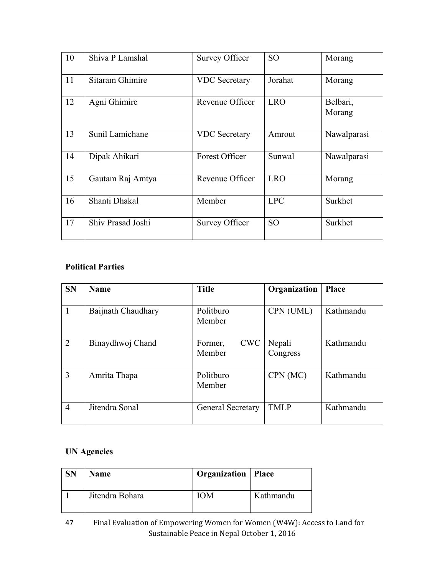| 10 | Shiva P Lamshal   | <b>Survey Officer</b> | SO <sub>1</sub> | Morang             |
|----|-------------------|-----------------------|-----------------|--------------------|
| 11 | Sitaram Ghimire   | <b>VDC</b> Secretary  | Jorahat         | Morang             |
| 12 | Agni Ghimire      | Revenue Officer       | <b>LRO</b>      | Belbari,<br>Morang |
| 13 | Sunil Lamichane   | <b>VDC</b> Secretary  | Amrout          | Nawalparasi        |
| 14 | Dipak Ahikari     | Forest Officer        | Sunwal          | Nawalparasi        |
| 15 | Gautam Raj Amtya  | Revenue Officer       | <b>LRO</b>      | Morang             |
| 16 | Shanti Dhakal     | Member                | <b>LPC</b>      | Surkhet            |
| 17 | Shiv Prasad Joshi | <b>Survey Officer</b> | <b>SO</b>       | Surkhet            |

## **Political Parties**

| <b>SN</b>      | <b>Name</b>        | <b>Title</b>                    | Organization       | <b>Place</b> |
|----------------|--------------------|---------------------------------|--------------------|--------------|
|                | Baijnath Chaudhary | Politburo<br>Member             | CPN (UML)          | Kathmandu    |
| $\overline{2}$ | Binaydhwoj Chand   | <b>CWC</b><br>Former,<br>Member | Nepali<br>Congress | Kathmandu    |
| 3              | Amrita Thapa       | Politburo<br>Member             | CPN (MC)           | Kathmandu    |
| $\overline{4}$ | Jitendra Sonal     | General Secretary               | <b>TMLP</b>        | Kathmandu    |

## **UN Agencies**

| <b>SN</b> | Name            | Organization   Place |           |
|-----------|-----------------|----------------------|-----------|
|           | Jitendra Bohara | ЮM                   | Kathmandu |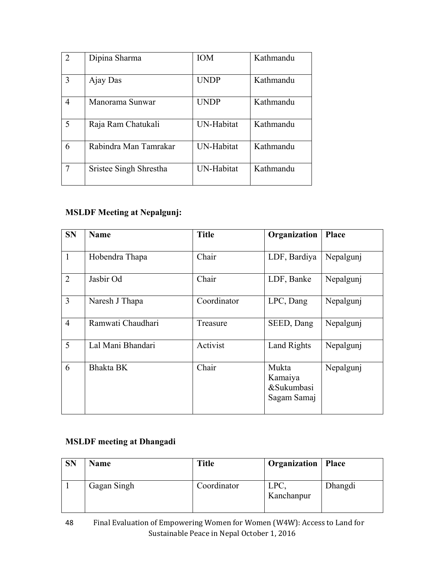| $\overline{2}$ | Dipina Sharma          | <b>IOM</b>        | Kathmandu |
|----------------|------------------------|-------------------|-----------|
| 3              | Ajay Das               | <b>UNDP</b>       | Kathmandu |
| 4              | Manorama Sunwar        | <b>UNDP</b>       | Kathmandu |
| 5              | Raja Ram Chatukali     | <b>UN-Habitat</b> | Kathmandu |
| 6              | Rabindra Man Tamrakar  | <b>UN-Habitat</b> | Kathmandu |
|                | Sristee Singh Shrestha | UN-Habitat        | Kathmandu |

## **MSLDF Meeting at Nepalgunj:**

| <b>SN</b>      | <b>Name</b>       | <b>Title</b> | Organization                                  | <b>Place</b> |
|----------------|-------------------|--------------|-----------------------------------------------|--------------|
| 1              | Hobendra Thapa    | Chair        | LDF, Bardiya                                  | Nepalgunj    |
| $\overline{2}$ | Jasbir Od         | Chair        | LDF, Banke                                    | Nepalgunj    |
| 3              | Naresh J Thapa    | Coordinator  | LPC, Dang                                     | Nepalgunj    |
| $\overline{4}$ | Ramwati Chaudhari | Treasure     | SEED, Dang                                    | Nepalgunj    |
| 5              | Lal Mani Bhandari | Activist     | Land Rights                                   | Nepalgunj    |
| 6              | Bhakta BK         | Chair        | Mukta<br>Kamaiya<br>&Sukumbasi<br>Sagam Samaj | Nepalgunj    |

## **MSLDF meeting at Dhangadi**

| <b>SN</b> | Name        | <b>Title</b> | <b>Organization</b>   Place |         |
|-----------|-------------|--------------|-----------------------------|---------|
|           | Gagan Singh | Coordinator  | LPC.<br>Kanchanpur          | Dhangdi |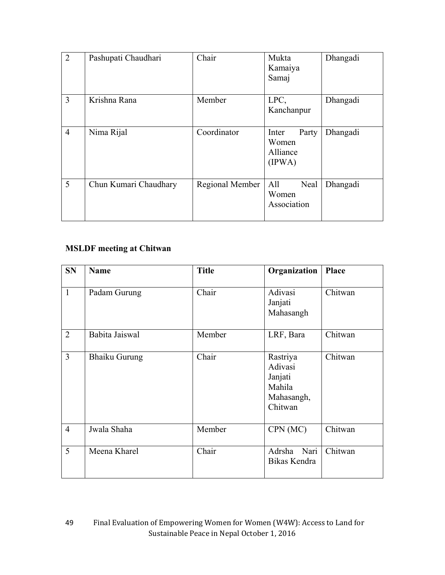| 2              | Pashupati Chaudhari   | Chair           | Mukta<br>Kamaiya<br>Samaj                     | Dhangadi |
|----------------|-----------------------|-----------------|-----------------------------------------------|----------|
| $\overline{3}$ | Krishna Rana          | Member          | LPC,<br>Kanchanpur                            | Dhangadi |
| $\overline{4}$ | Nima Rijal            | Coordinator     | Party<br>Inter<br>Women<br>Alliance<br>(IPWA) | Dhangadi |
| 5              | Chun Kumari Chaudhary | Regional Member | All<br>Neal<br>Women<br>Association           | Dhangadi |

## **MSLDF meeting at Chitwan**

| <b>SN</b>      | <b>Name</b>          | <b>Title</b> | Organization                                                      | Place   |
|----------------|----------------------|--------------|-------------------------------------------------------------------|---------|
| $\mathbf{1}$   | Padam Gurung         | Chair        | Adivasi<br>Janjati<br>Mahasangh                                   | Chitwan |
| $\overline{2}$ | Babita Jaiswal       | Member       | LRF, Bara                                                         | Chitwan |
| $\overline{3}$ | <b>Bhaiku Gurung</b> | Chair        | Rastriya<br>Adivasi<br>Janjati<br>Mahila<br>Mahasangh,<br>Chitwan | Chitwan |
| $\overline{4}$ | Jwala Shaha          | Member       | CPN (MC)                                                          | Chitwan |
| 5              | Meena Kharel         | Chair        | Adrsha<br>Nari<br>Bikas Kendra                                    | Chitwan |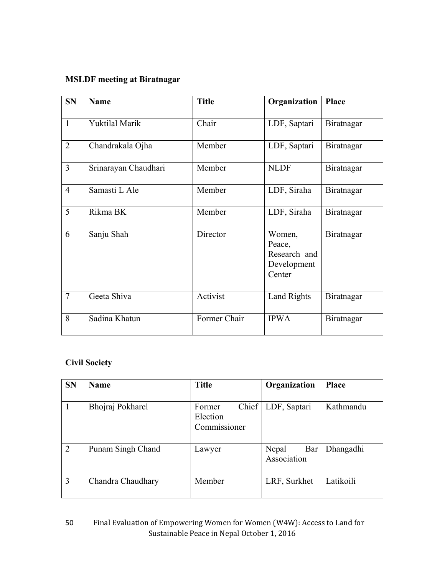## **MSLDF meeting at Biratnagar**

| <b>SN</b>      | <b>Name</b>           | <b>Title</b> | Organization                                              | Place      |
|----------------|-----------------------|--------------|-----------------------------------------------------------|------------|
| $\mathbf{1}$   | <b>Yuktilal Marik</b> | Chair        | LDF, Saptari                                              | Biratnagar |
| $\overline{2}$ | Chandrakala Ojha      | Member       | LDF, Saptari                                              | Biratnagar |
| $\overline{3}$ | Srinarayan Chaudhari  | Member       | <b>NLDF</b>                                               | Biratnagar |
| $\overline{4}$ | Samasti L Ale         | Member       | LDF, Siraha                                               | Biratnagar |
| 5              | Rikma BK              | Member       | LDF, Siraha                                               | Biratnagar |
| 6              | Sanju Shah            | Director     | Women,<br>Peace,<br>Research and<br>Development<br>Center | Biratnagar |
| $\overline{7}$ | Geeta Shiva           | Activist     | Land Rights                                               | Biratnagar |
| 8              | Sadina Khatun         | Former Chair | <b>IPWA</b>                                               | Biratnagar |

## **Civil Society**

| <b>SN</b>      | <b>Name</b>       | <b>Title</b>                                | Organization                | <b>Place</b> |
|----------------|-------------------|---------------------------------------------|-----------------------------|--------------|
|                | Bhojraj Pokharel  | Chief<br>Former<br>Election<br>Commissioner | LDF, Saptari                | Kathmandu    |
| $\overline{2}$ | Punam Singh Chand | Lawyer                                      | Nepal<br>Bar<br>Association | Dhangadhi    |
| $\overline{3}$ | Chandra Chaudhary | Member                                      | LRF, Surkhet                | Latikoili    |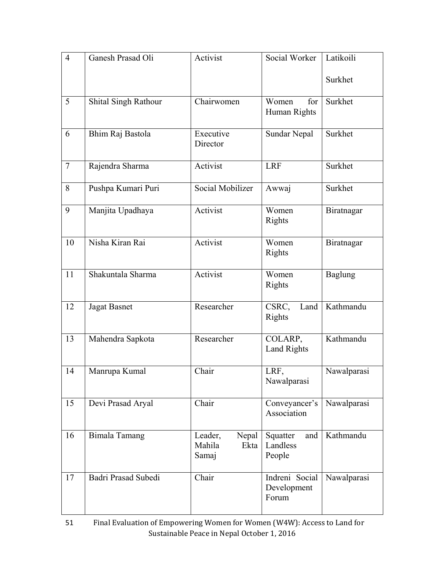| $\overline{4}$ | Ganesh Prasad Oli    | Activist                                    | Social Worker                          | Latikoili      |
|----------------|----------------------|---------------------------------------------|----------------------------------------|----------------|
|                |                      |                                             |                                        | Surkhet        |
| 5              | Shital Singh Rathour | Chairwomen                                  | Women<br>for<br>Human Rights           | Surkhet        |
| 6              | Bhim Raj Bastola     | Executive<br>Director                       | Sundar Nepal                           | Surkhet        |
| $\tau$         | Rajendra Sharma      | Activist                                    | <b>LRF</b>                             | Surkhet        |
| 8              | Pushpa Kumari Puri   | Social Mobilizer                            | Awwaj                                  | Surkhet        |
| 9              | Manjita Upadhaya     | Activist                                    | Women<br>Rights                        | Biratnagar     |
| 10             | Nisha Kiran Rai      | Activist                                    | Women<br><b>Rights</b>                 | Biratnagar     |
| 11             | Shakuntala Sharma    | Activist                                    | Women<br>Rights                        | <b>Baglung</b> |
| 12             | <b>Jagat Basnet</b>  | Researcher                                  | CSRC,<br>Land<br>Rights                | Kathmandu      |
| 13             | Mahendra Sapkota     | Researcher                                  | COLARP,<br><b>Land Rights</b>          | Kathmandu      |
| 14             | Manrupa Kumal        | Chair                                       | LRF,<br>Nawalparasi                    | Nawalparasi    |
| 15             | Devi Prasad Aryal    | Chair                                       | Conveyancer's<br>Association           | Nawalparasi    |
| 16             | <b>Bimala Tamang</b> | Nepal<br>Leader,<br>Mahila<br>Ekta<br>Samaj | and<br>Squatter<br>Landless<br>People  | Kathmandu      |
| 17             | Badri Prasad Subedi  | Chair                                       | Indreni Social<br>Development<br>Forum | Nawalparasi    |